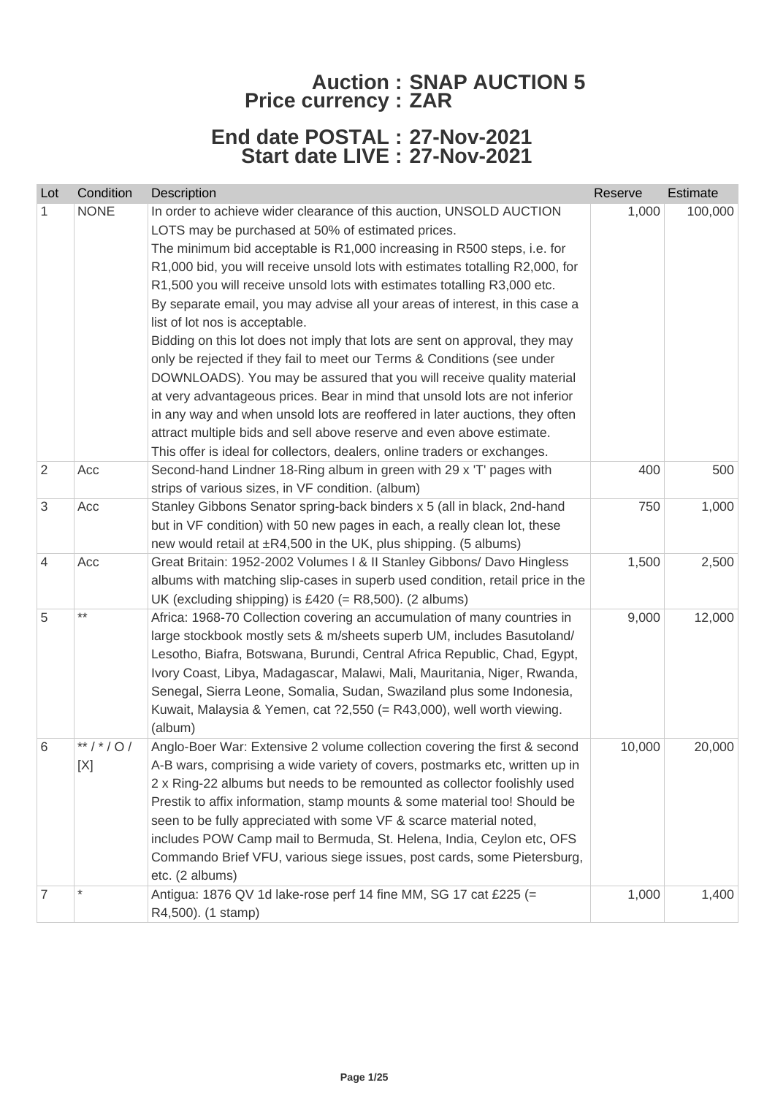## **Auction : SNAP AUCTION 5 Price currency : ZAR**

## **End date POSTAL : 27-Nov-2021 Start date LIVE : 27-Nov-2021**

| Lot            | Condition              | Description                                                                                                                                                                                                                                                                                                                                                                                                                                                                                                                                                                                                                                                                                                                                                                                                                                                                                                                                                                                                                               | Reserve | Estimate |
|----------------|------------------------|-------------------------------------------------------------------------------------------------------------------------------------------------------------------------------------------------------------------------------------------------------------------------------------------------------------------------------------------------------------------------------------------------------------------------------------------------------------------------------------------------------------------------------------------------------------------------------------------------------------------------------------------------------------------------------------------------------------------------------------------------------------------------------------------------------------------------------------------------------------------------------------------------------------------------------------------------------------------------------------------------------------------------------------------|---------|----------|
| 1              | <b>NONE</b>            | In order to achieve wider clearance of this auction, UNSOLD AUCTION<br>LOTS may be purchased at 50% of estimated prices.<br>The minimum bid acceptable is R1,000 increasing in R500 steps, i.e. for<br>R1,000 bid, you will receive unsold lots with estimates totalling R2,000, for<br>R1,500 you will receive unsold lots with estimates totalling R3,000 etc.<br>By separate email, you may advise all your areas of interest, in this case a<br>list of lot nos is acceptable.<br>Bidding on this lot does not imply that lots are sent on approval, they may<br>only be rejected if they fail to meet our Terms & Conditions (see under<br>DOWNLOADS). You may be assured that you will receive quality material<br>at very advantageous prices. Bear in mind that unsold lots are not inferior<br>in any way and when unsold lots are reoffered in later auctions, they often<br>attract multiple bids and sell above reserve and even above estimate.<br>This offer is ideal for collectors, dealers, online traders or exchanges. | 1,000   | 100,000  |
| $\overline{2}$ | Acc                    | Second-hand Lindner 18-Ring album in green with 29 x 'T' pages with<br>strips of various sizes, in VF condition. (album)                                                                                                                                                                                                                                                                                                                                                                                                                                                                                                                                                                                                                                                                                                                                                                                                                                                                                                                  | 400     | 500      |
| 3              | Acc                    | Stanley Gibbons Senator spring-back binders x 5 (all in black, 2nd-hand<br>but in VF condition) with 50 new pages in each, a really clean lot, these<br>new would retail at ±R4,500 in the UK, plus shipping. (5 albums)                                                                                                                                                                                                                                                                                                                                                                                                                                                                                                                                                                                                                                                                                                                                                                                                                  | 750     | 1,000    |
| 4              | Acc                    | Great Britain: 1952-2002 Volumes I & II Stanley Gibbons/ Davo Hingless<br>albums with matching slip-cases in superb used condition, retail price in the<br>UK (excluding shipping) is £420 (= $R8,500$ ). (2 albums)                                                                                                                                                                                                                                                                                                                                                                                                                                                                                                                                                                                                                                                                                                                                                                                                                      | 1,500   | 2,500    |
| 5              | $***$                  | Africa: 1968-70 Collection covering an accumulation of many countries in<br>large stockbook mostly sets & m/sheets superb UM, includes Basutoland/<br>Lesotho, Biafra, Botswana, Burundi, Central Africa Republic, Chad, Egypt,<br>Ivory Coast, Libya, Madagascar, Malawi, Mali, Mauritania, Niger, Rwanda,<br>Senegal, Sierra Leone, Somalia, Sudan, Swaziland plus some Indonesia,<br>Kuwait, Malaysia & Yemen, cat ?2,550 (= R43,000), well worth viewing.<br>(album)                                                                                                                                                                                                                                                                                                                                                                                                                                                                                                                                                                  | 9,000   | 12,000   |
| 6              | **/*/0/<br>$[{\sf X}]$ | Anglo-Boer War: Extensive 2 volume collection covering the first & second<br>A-B wars, comprising a wide variety of covers, postmarks etc, written up in<br>2 x Ring-22 albums but needs to be remounted as collector foolishly used<br>Prestik to affix information, stamp mounts & some material too! Should be<br>seen to be fully appreciated with some VF & scarce material noted,<br>includes POW Camp mail to Bermuda, St. Helena, India, Ceylon etc, OFS<br>Commando Brief VFU, various siege issues, post cards, some Pietersburg,<br>etc. (2 albums)                                                                                                                                                                                                                                                                                                                                                                                                                                                                            | 10,000  | 20,000   |
| 7              | $\star$                | Antigua: 1876 QV 1d lake-rose perf 14 fine MM, SG 17 cat £225 (=<br>R4,500). (1 stamp)                                                                                                                                                                                                                                                                                                                                                                                                                                                                                                                                                                                                                                                                                                                                                                                                                                                                                                                                                    | 1,000   | 1,400    |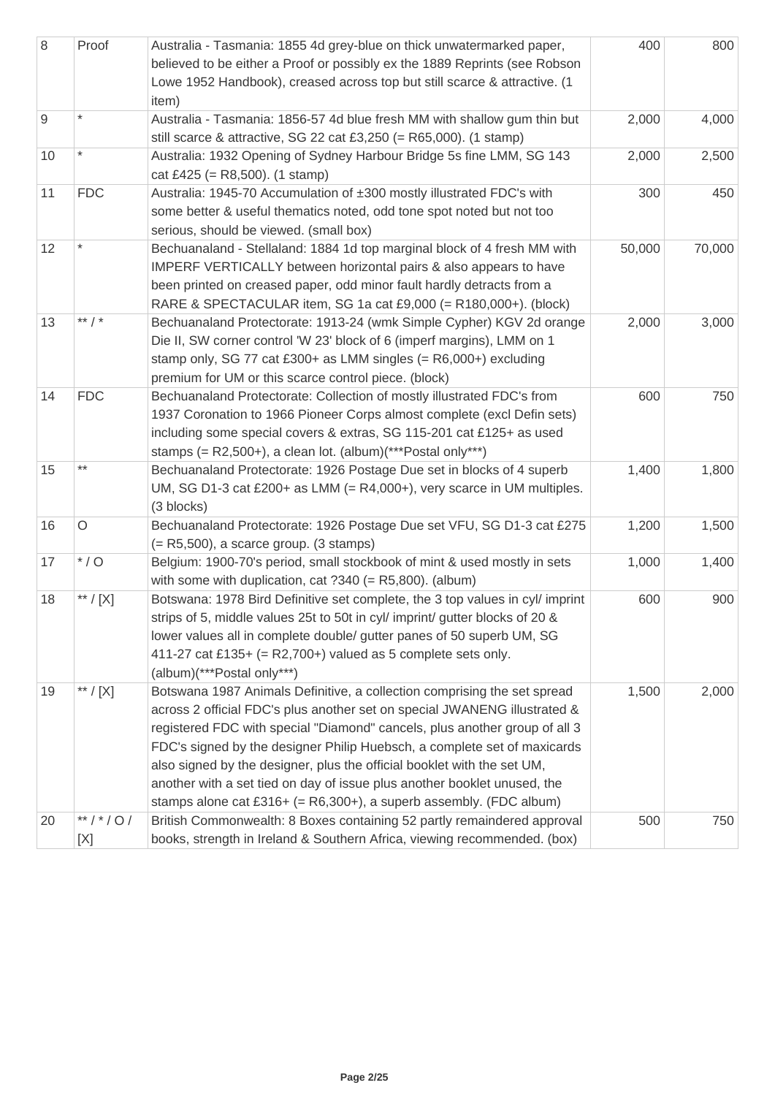| $\,8\,$ | Proof               | Australia - Tasmania: 1855 4d grey-blue on thick unwatermarked paper,<br>believed to be either a Proof or possibly ex the 1889 Reprints (see Robson<br>Lowe 1952 Handbook), creased across top but still scarce & attractive. (1<br>item)                                                                                                                                                                                                                                                                                                       | 400    | 800    |
|---------|---------------------|-------------------------------------------------------------------------------------------------------------------------------------------------------------------------------------------------------------------------------------------------------------------------------------------------------------------------------------------------------------------------------------------------------------------------------------------------------------------------------------------------------------------------------------------------|--------|--------|
| 9       | $\star$             | Australia - Tasmania: 1856-57 4d blue fresh MM with shallow gum thin but<br>still scarce & attractive, SG 22 cat £3,250 (= $R65,000$ ). (1 stamp)                                                                                                                                                                                                                                                                                                                                                                                               | 2,000  | 4,000  |
| 10      |                     | Australia: 1932 Opening of Sydney Harbour Bridge 5s fine LMM, SG 143<br>cat £425 (= $R8,500$ ). (1 stamp)                                                                                                                                                                                                                                                                                                                                                                                                                                       | 2,000  | 2,500  |
| 11      | <b>FDC</b>          | Australia: 1945-70 Accumulation of ±300 mostly illustrated FDC's with<br>some better & useful thematics noted, odd tone spot noted but not too<br>serious, should be viewed. (small box)                                                                                                                                                                                                                                                                                                                                                        | 300    | 450    |
| 12      |                     | Bechuanaland - Stellaland: 1884 1d top marginal block of 4 fresh MM with<br>IMPERF VERTICALLY between horizontal pairs & also appears to have<br>been printed on creased paper, odd minor fault hardly detracts from a<br>RARE & SPECTACULAR item, SG 1a cat £9,000 (= R180,000+). (block)                                                                                                                                                                                                                                                      | 50,000 | 70,000 |
| 13      | ** $/$ *            | Bechuanaland Protectorate: 1913-24 (wmk Simple Cypher) KGV 2d orange<br>Die II, SW corner control 'W 23' block of 6 (imperf margins), LMM on 1<br>stamp only, SG 77 cat £300+ as LMM singles (= R6,000+) excluding<br>premium for UM or this scarce control piece. (block)                                                                                                                                                                                                                                                                      | 2,000  | 3,000  |
| 14      | <b>FDC</b>          | Bechuanaland Protectorate: Collection of mostly illustrated FDC's from<br>1937 Coronation to 1966 Pioneer Corps almost complete (excl Defin sets)<br>including some special covers & extras, SG 115-201 cat £125+ as used<br>stamps (= $R2,500+$ ), a clean lot. (album)(***Postal only***)                                                                                                                                                                                                                                                     | 600    | 750    |
| 15      | $***$               | Bechuanaland Protectorate: 1926 Postage Due set in blocks of 4 superb<br>UM, SG D1-3 cat £200+ as LMM (= $R4,000+$ ), very scarce in UM multiples.<br>(3 blocks)                                                                                                                                                                                                                                                                                                                                                                                | 1,400  | 1,800  |
| 16      | $\circ$             | Bechuanaland Protectorate: 1926 Postage Due set VFU, SG D1-3 cat £275<br>$(= R5,500)$ , a scarce group. (3 stamps)                                                                                                                                                                                                                                                                                                                                                                                                                              | 1,200  | 1,500  |
| 17      | $*$ / O             | Belgium: 1900-70's period, small stockbook of mint & used mostly in sets<br>with some with duplication, cat $?340 (= R5,800)$ . (album)                                                                                                                                                                                                                                                                                                                                                                                                         | 1,000  | 1,400  |
| 18      | ** / [X]            | Botswana: 1978 Bird Definitive set complete, the 3 top values in cyl/ imprint<br>strips of 5, middle values 25t to 50t in cyl/ imprint/ gutter blocks of 20 &<br>lower values all in complete double/ gutter panes of 50 superb UM, SG<br>411-27 cat £135+ (= $R2,700+$ ) valued as 5 complete sets only.<br>(album)(***Postal only***)                                                                                                                                                                                                         | 600    | 900    |
| 19      | $^{\ast\ast}$ / [X] | Botswana 1987 Animals Definitive, a collection comprising the set spread<br>across 2 official FDC's plus another set on special JWANENG illustrated &<br>registered FDC with special "Diamond" cancels, plus another group of all 3<br>FDC's signed by the designer Philip Huebsch, a complete set of maxicards<br>also signed by the designer, plus the official booklet with the set UM,<br>another with a set tied on day of issue plus another booklet unused, the<br>stamps alone cat £316+ (= $R6,300+$ ), a superb assembly. (FDC album) | 1,500  | 2,000  |
| 20      | **/*/0/<br>[X]      | British Commonwealth: 8 Boxes containing 52 partly remaindered approval<br>books, strength in Ireland & Southern Africa, viewing recommended. (box)                                                                                                                                                                                                                                                                                                                                                                                             | 500    | 750    |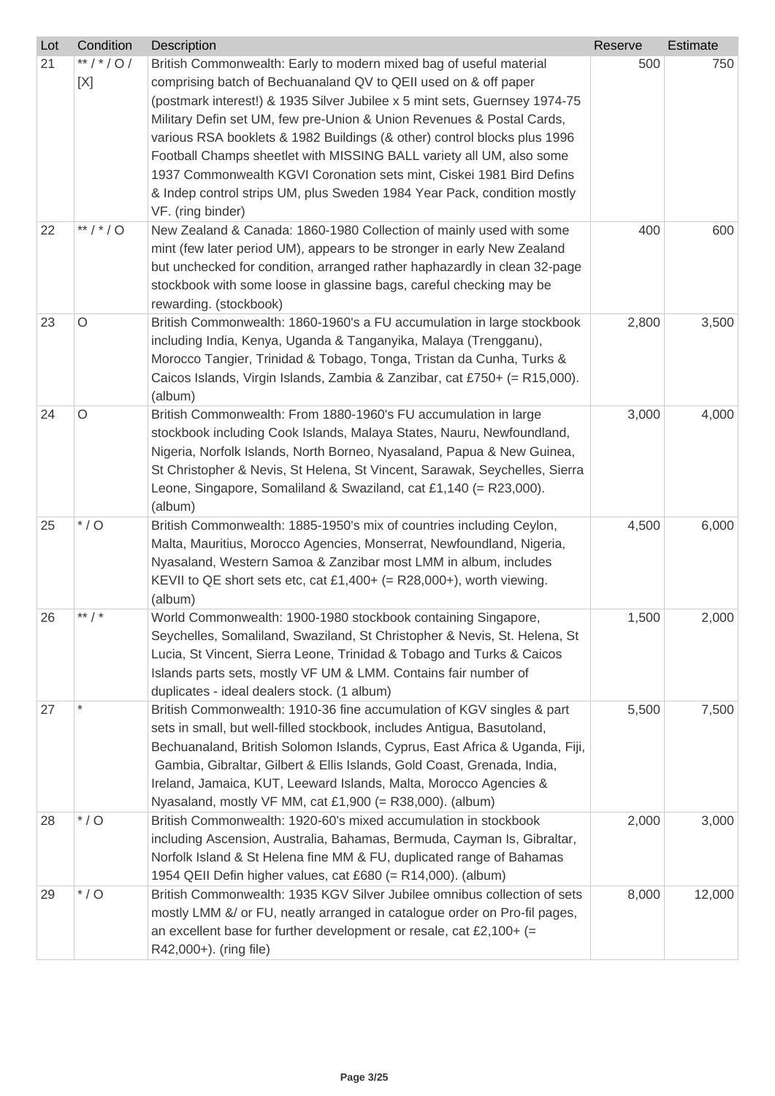| Lot | Condition      | Description                                                                                                                                                                                                                                                                                                                                                                                                                                                                                                                                                                                                              | Reserve | Estimate |
|-----|----------------|--------------------------------------------------------------------------------------------------------------------------------------------------------------------------------------------------------------------------------------------------------------------------------------------------------------------------------------------------------------------------------------------------------------------------------------------------------------------------------------------------------------------------------------------------------------------------------------------------------------------------|---------|----------|
| 21  | **/*/0/<br>[X] | British Commonwealth: Early to modern mixed bag of useful material<br>comprising batch of Bechuanaland QV to QEII used on & off paper<br>(postmark interest!) & 1935 Silver Jubilee x 5 mint sets, Guernsey 1974-75<br>Military Defin set UM, few pre-Union & Union Revenues & Postal Cards,<br>various RSA booklets & 1982 Buildings (& other) control blocks plus 1996<br>Football Champs sheetlet with MISSING BALL variety all UM, also some<br>1937 Commonwealth KGVI Coronation sets mint, Ciskei 1981 Bird Defins<br>& Indep control strips UM, plus Sweden 1984 Year Pack, condition mostly<br>VF. (ring binder) | 500     | 750      |
| 22  | ** / * / O     | New Zealand & Canada: 1860-1980 Collection of mainly used with some<br>mint (few later period UM), appears to be stronger in early New Zealand<br>but unchecked for condition, arranged rather haphazardly in clean 32-page<br>stockbook with some loose in glassine bags, careful checking may be<br>rewarding. (stockbook)                                                                                                                                                                                                                                                                                             | 400     | 600      |
| 23  | $\circ$        | British Commonwealth: 1860-1960's a FU accumulation in large stockbook<br>including India, Kenya, Uganda & Tanganyika, Malaya (Trengganu),<br>Morocco Tangier, Trinidad & Tobago, Tonga, Tristan da Cunha, Turks &<br>Caicos Islands, Virgin Islands, Zambia & Zanzibar, cat £750+ (= R15,000).<br>(album)                                                                                                                                                                                                                                                                                                               | 2,800   | 3,500    |
| 24  | O              | British Commonwealth: From 1880-1960's FU accumulation in large<br>stockbook including Cook Islands, Malaya States, Nauru, Newfoundland,<br>Nigeria, Norfolk Islands, North Borneo, Nyasaland, Papua & New Guinea,<br>St Christopher & Nevis, St Helena, St Vincent, Sarawak, Seychelles, Sierra<br>Leone, Singapore, Somaliland & Swaziland, cat £1,140 (= R23,000).<br>(album)                                                                                                                                                                                                                                         | 3,000   | 4,000    |
| 25  | $*$ / O        | British Commonwealth: 1885-1950's mix of countries including Ceylon,<br>Malta, Mauritius, Morocco Agencies, Monserrat, Newfoundland, Nigeria,<br>Nyasaland, Western Samoa & Zanzibar most LMM in album, includes<br>KEVII to QE short sets etc, cat £1,400+ (= R28,000+), worth viewing.<br>(album)                                                                                                                                                                                                                                                                                                                      | 4,500   | 6,000    |
| 26  | ** $/$ *       | World Commonwealth: 1900-1980 stockbook containing Singapore,<br>Seychelles, Somaliland, Swaziland, St Christopher & Nevis, St. Helena, St<br>Lucia, St Vincent, Sierra Leone, Trinidad & Tobago and Turks & Caicos<br>Islands parts sets, mostly VF UM & LMM. Contains fair number of<br>duplicates - ideal dealers stock. (1 album)                                                                                                                                                                                                                                                                                    | 1,500   | 2,000    |
| 27  |                | British Commonwealth: 1910-36 fine accumulation of KGV singles & part<br>sets in small, but well-filled stockbook, includes Antigua, Basutoland,<br>Bechuanaland, British Solomon Islands, Cyprus, East Africa & Uganda, Fiji,<br>Gambia, Gibraltar, Gilbert & Ellis Islands, Gold Coast, Grenada, India,<br>Ireland, Jamaica, KUT, Leeward Islands, Malta, Morocco Agencies &<br>Nyasaland, mostly VF MM, cat $£1,900 (= R38,000)$ . (album)                                                                                                                                                                            | 5,500   | 7,500    |
| 28  | $*$ / O        | British Commonwealth: 1920-60's mixed accumulation in stockbook<br>including Ascension, Australia, Bahamas, Bermuda, Cayman Is, Gibraltar,<br>Norfolk Island & St Helena fine MM & FU, duplicated range of Bahamas<br>1954 QEII Defin higher values, cat £680 (= R14,000). (album)                                                                                                                                                                                                                                                                                                                                       | 2,000   | 3,000    |
| 29  | $*$ / O        | British Commonwealth: 1935 KGV Silver Jubilee omnibus collection of sets<br>mostly LMM &/ or FU, neatly arranged in catalogue order on Pro-fil pages,<br>an excellent base for further development or resale, cat £2,100+ $(=$<br>R42,000+). (ring file)                                                                                                                                                                                                                                                                                                                                                                 | 8,000   | 12,000   |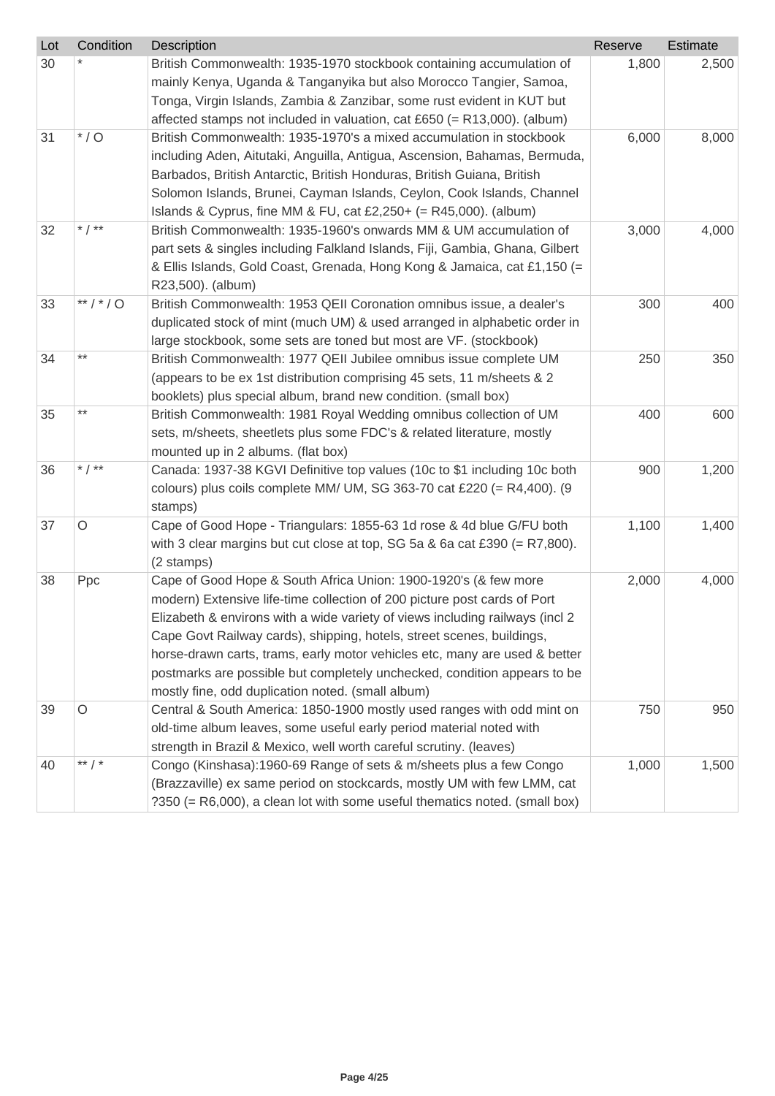| Lot | Condition | Description                                                                                                                                                                                                                                                                                                                                                                                                                                                                                                          | Reserve | Estimate |
|-----|-----------|----------------------------------------------------------------------------------------------------------------------------------------------------------------------------------------------------------------------------------------------------------------------------------------------------------------------------------------------------------------------------------------------------------------------------------------------------------------------------------------------------------------------|---------|----------|
| 30  |           | British Commonwealth: 1935-1970 stockbook containing accumulation of<br>mainly Kenya, Uganda & Tanganyika but also Morocco Tangier, Samoa,<br>Tonga, Virgin Islands, Zambia & Zanzibar, some rust evident in KUT but<br>affected stamps not included in valuation, cat £650 (= R13,000). (album)                                                                                                                                                                                                                     | 1,800   | 2,500    |
| 31  | $*$ / O   | British Commonwealth: 1935-1970's a mixed accumulation in stockbook<br>including Aden, Aitutaki, Anguilla, Antigua, Ascension, Bahamas, Bermuda,<br>Barbados, British Antarctic, British Honduras, British Guiana, British<br>Solomon Islands, Brunei, Cayman Islands, Ceylon, Cook Islands, Channel<br>Islands & Cyprus, fine MM & FU, cat £2,250+ (= $R45,000$ ). (album)                                                                                                                                          | 6,000   | 8,000    |
| 32  | * $/$ **  | British Commonwealth: 1935-1960's onwards MM & UM accumulation of<br>part sets & singles including Falkland Islands, Fiji, Gambia, Ghana, Gilbert<br>& Ellis Islands, Gold Coast, Grenada, Hong Kong & Jamaica, cat £1,150 (=<br>R23,500). (album)                                                                                                                                                                                                                                                                   | 3,000   | 4,000    |
| 33  | **/*/0    | British Commonwealth: 1953 QEII Coronation omnibus issue, a dealer's<br>duplicated stock of mint (much UM) & used arranged in alphabetic order in<br>large stockbook, some sets are toned but most are VF. (stockbook)                                                                                                                                                                                                                                                                                               | 300     | 400      |
| 34  | $***$     | British Commonwealth: 1977 QEII Jubilee omnibus issue complete UM<br>(appears to be ex 1st distribution comprising 45 sets, 11 m/sheets & 2<br>booklets) plus special album, brand new condition. (small box)                                                                                                                                                                                                                                                                                                        | 250     | 350      |
| 35  | $***$     | British Commonwealth: 1981 Royal Wedding omnibus collection of UM<br>sets, m/sheets, sheetlets plus some FDC's & related literature, mostly<br>mounted up in 2 albums. (flat box)                                                                                                                                                                                                                                                                                                                                    | 400     | 600      |
| 36  | * $/$ **  | Canada: 1937-38 KGVI Definitive top values (10c to \$1 including 10c both<br>colours) plus coils complete MM/ UM, SG 363-70 cat £220 (= $R4,400$ ). (9<br>stamps)                                                                                                                                                                                                                                                                                                                                                    | 900     | 1,200    |
| 37  | $\circ$   | Cape of Good Hope - Triangulars: 1855-63 1d rose & 4d blue G/FU both<br>with 3 clear margins but cut close at top, SG 5a & 6a cat £390 (= $R7,800$ ).<br>(2 stamps)                                                                                                                                                                                                                                                                                                                                                  | 1,100   | 1,400    |
| 38  | Ppc       | Cape of Good Hope & South Africa Union: 1900-1920's (& few more<br>modern) Extensive life-time collection of 200 picture post cards of Port<br>Elizabeth & environs with a wide variety of views including railways (incl 2)<br>Cape Govt Railway cards), shipping, hotels, street scenes, buildings,<br>horse-drawn carts, trams, early motor vehicles etc, many are used & better<br>postmarks are possible but completely unchecked, condition appears to be<br>mostly fine, odd duplication noted. (small album) | 2,000   | 4,000    |
| 39  | O         | Central & South America: 1850-1900 mostly used ranges with odd mint on<br>old-time album leaves, some useful early period material noted with<br>strength in Brazil & Mexico, well worth careful scrutiny. (leaves)                                                                                                                                                                                                                                                                                                  | 750     | 950      |
| 40  | ** $/$ *  | Congo (Kinshasa):1960-69 Range of sets & m/sheets plus a few Congo<br>(Brazzaville) ex same period on stockcards, mostly UM with few LMM, cat<br>?350 (= R6,000), a clean lot with some useful thematics noted. (small box)                                                                                                                                                                                                                                                                                          | 1,000   | 1,500    |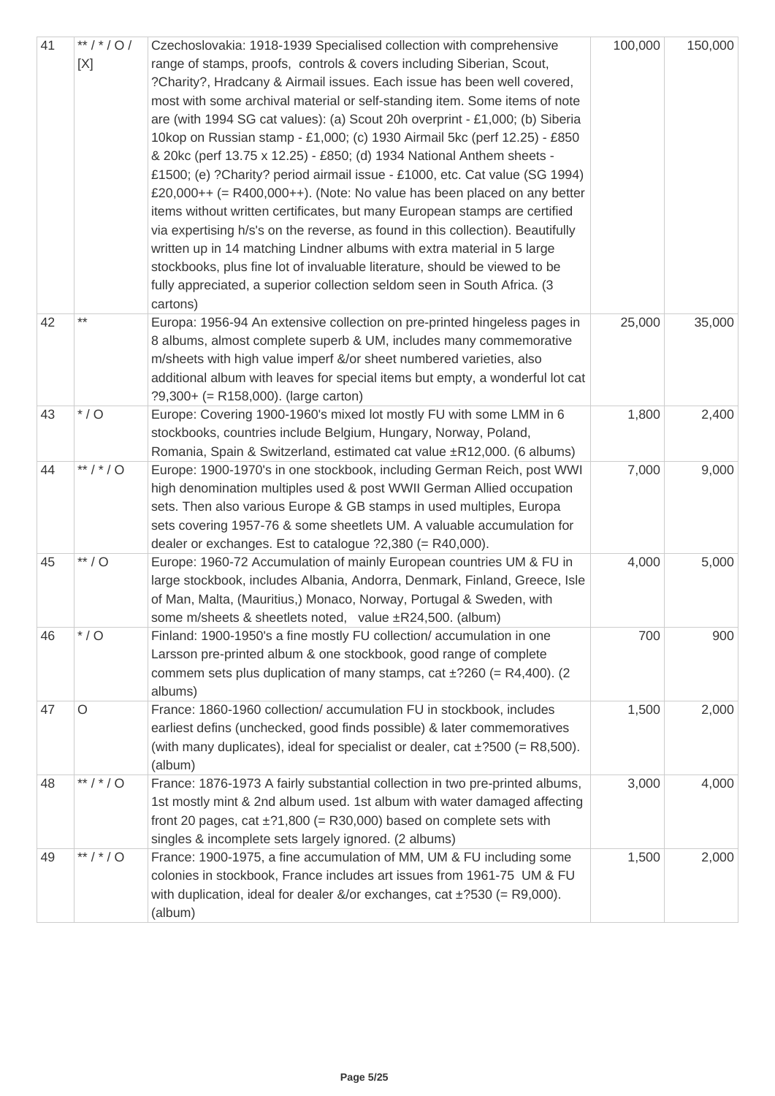| 41 | **/*/0/<br>[X] | Czechoslovakia: 1918-1939 Specialised collection with comprehensive<br>range of stamps, proofs, controls & covers including Siberian, Scout,<br>?Charity?, Hradcany & Airmail issues. Each issue has been well covered,<br>most with some archival material or self-standing item. Some items of note<br>are (with 1994 SG cat values): (a) Scout 20h overprint - £1,000; (b) Siberia<br>10kop on Russian stamp - £1,000; (c) 1930 Airmail 5kc (perf 12.25) - £850<br>& 20kc (perf 13.75 x 12.25) - £850; (d) 1934 National Anthem sheets -<br>£1500; (e) ?Charity? period airmail issue - £1000, etc. Cat value (SG 1994)<br>£20,000++ (= $R400,000++$ ). (Note: No value has been placed on any better<br>items without written certificates, but many European stamps are certified<br>via expertising h/s's on the reverse, as found in this collection). Beautifully<br>written up in 14 matching Lindner albums with extra material in 5 large<br>stockbooks, plus fine lot of invaluable literature, should be viewed to be<br>fully appreciated, a superior collection seldom seen in South Africa. (3<br>cartons) | 100,000 | 150,000 |
|----|----------------|----------------------------------------------------------------------------------------------------------------------------------------------------------------------------------------------------------------------------------------------------------------------------------------------------------------------------------------------------------------------------------------------------------------------------------------------------------------------------------------------------------------------------------------------------------------------------------------------------------------------------------------------------------------------------------------------------------------------------------------------------------------------------------------------------------------------------------------------------------------------------------------------------------------------------------------------------------------------------------------------------------------------------------------------------------------------------------------------------------------------------|---------|---------|
| 42 | $***$          | Europa: 1956-94 An extensive collection on pre-printed hingeless pages in<br>8 albums, almost complete superb & UM, includes many commemorative<br>m/sheets with high value imperf &/or sheet numbered varieties, also<br>additional album with leaves for special items but empty, a wonderful lot cat<br>$?9,300+ (= R158,000)$ . (large carton)                                                                                                                                                                                                                                                                                                                                                                                                                                                                                                                                                                                                                                                                                                                                                                         | 25,000  | 35,000  |
| 43 | $^{\star}$ / O | Europe: Covering 1900-1960's mixed lot mostly FU with some LMM in 6<br>stockbooks, countries include Belgium, Hungary, Norway, Poland,<br>Romania, Spain & Switzerland, estimated cat value ±R12,000. (6 albums)                                                                                                                                                                                                                                                                                                                                                                                                                                                                                                                                                                                                                                                                                                                                                                                                                                                                                                           | 1,800   | 2,400   |
| 44 | **/*/0         | Europe: 1900-1970's in one stockbook, including German Reich, post WWI<br>high denomination multiples used & post WWII German Allied occupation<br>sets. Then also various Europe & GB stamps in used multiples, Europa<br>sets covering 1957-76 & some sheetlets UM. A valuable accumulation for<br>dealer or exchanges. Est to catalogue $?2,380$ (= R40,000).                                                                                                                                                                                                                                                                                                                                                                                                                                                                                                                                                                                                                                                                                                                                                           | 7,000   | 9,000   |
| 45 | $**/O$         | Europe: 1960-72 Accumulation of mainly European countries UM & FU in<br>large stockbook, includes Albania, Andorra, Denmark, Finland, Greece, Isle<br>of Man, Malta, (Mauritius,) Monaco, Norway, Portugal & Sweden, with<br>some m/sheets & sheetlets noted, value $\pm$ R24,500. (album)                                                                                                                                                                                                                                                                                                                                                                                                                                                                                                                                                                                                                                                                                                                                                                                                                                 | 4,000   | 5,000   |
| 46 | $*$ / O        | Finland: 1900-1950's a fine mostly FU collection/ accumulation in one<br>Larsson pre-printed album & one stockbook, good range of complete<br>commem sets plus duplication of many stamps, cat $\pm$ ?260 (= R4,400). (2<br>albums)                                                                                                                                                                                                                                                                                                                                                                                                                                                                                                                                                                                                                                                                                                                                                                                                                                                                                        | 700     | 900     |
| 47 | O              | France: 1860-1960 collection/ accumulation FU in stockbook, includes<br>earliest defins (unchecked, good finds possible) & later commemoratives<br>(with many duplicates), ideal for specialist or dealer, cat $\pm$ ?500 (= R8,500).<br>(album)                                                                                                                                                                                                                                                                                                                                                                                                                                                                                                                                                                                                                                                                                                                                                                                                                                                                           | 1,500   | 2,000   |
| 48 | **/*/0         | France: 1876-1973 A fairly substantial collection in two pre-printed albums,<br>1st mostly mint & 2nd album used. 1st album with water damaged affecting<br>front 20 pages, cat $\pm$ ?1,800 (= R30,000) based on complete sets with<br>singles & incomplete sets largely ignored. (2 albums)                                                                                                                                                                                                                                                                                                                                                                                                                                                                                                                                                                                                                                                                                                                                                                                                                              | 3,000   | 4,000   |
| 49 | **/*/0         | France: 1900-1975, a fine accumulation of MM, UM & FU including some<br>colonies in stockbook, France includes art issues from 1961-75 UM & FU<br>with duplication, ideal for dealer $\&\/$ or exchanges, cat $\pm$ ?530 (= R9,000).<br>(album)                                                                                                                                                                                                                                                                                                                                                                                                                                                                                                                                                                                                                                                                                                                                                                                                                                                                            | 1,500   | 2,000   |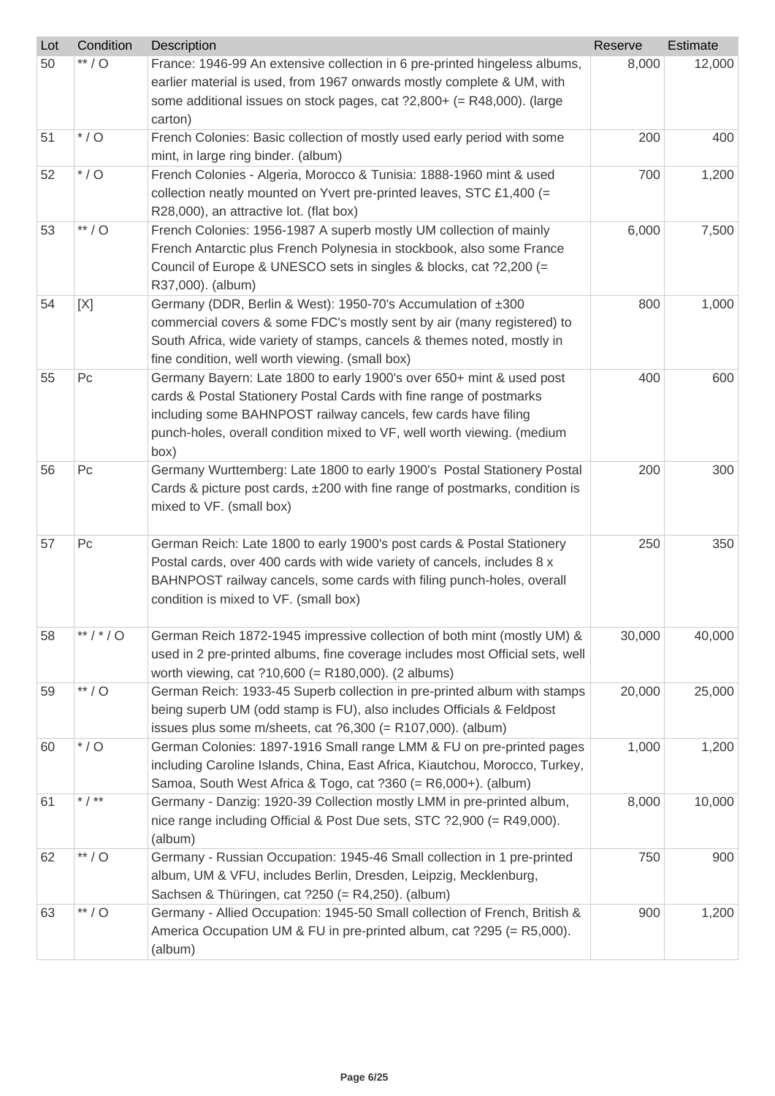| Lot | Condition      | Description                                                                                                             | Reserve | Estimate |
|-----|----------------|-------------------------------------------------------------------------------------------------------------------------|---------|----------|
| 50  | $**/O$         | France: 1946-99 An extensive collection in 6 pre-printed hingeless albums,                                              | 8,000   | 12,000   |
|     |                | earlier material is used, from 1967 onwards mostly complete & UM, with                                                  |         |          |
|     |                | some additional issues on stock pages, cat $?2,800+ (= R48,000)$ . (large                                               |         |          |
|     |                | carton)                                                                                                                 |         |          |
| 51  | $*$ / O        | French Colonies: Basic collection of mostly used early period with some                                                 | 200     | 400      |
|     |                | mint, in large ring binder. (album)                                                                                     |         |          |
| 52  | $*$ / O        | French Colonies - Algeria, Morocco & Tunisia: 1888-1960 mint & used                                                     | 700     | 1,200    |
|     |                | collection neatly mounted on Yvert pre-printed leaves, STC £1,400 (=                                                    |         |          |
|     |                | R28,000), an attractive lot. (flat box)                                                                                 |         |          |
| 53  | $**/O$         | French Colonies: 1956-1987 A superb mostly UM collection of mainly                                                      | 6,000   | 7,500    |
|     |                | French Antarctic plus French Polynesia in stockbook, also some France                                                   |         |          |
|     |                | Council of Europe & UNESCO sets in singles & blocks, cat ?2,200 (=                                                      |         |          |
|     |                | R37,000). (album)                                                                                                       |         |          |
| 54  | [X]            | Germany (DDR, Berlin & West): 1950-70's Accumulation of ±300                                                            | 800     | 1,000    |
|     |                | commercial covers & some FDC's mostly sent by air (many registered) to                                                  |         |          |
|     |                | South Africa, wide variety of stamps, cancels & themes noted, mostly in                                                 |         |          |
| 55  | P <sub>C</sub> | fine condition, well worth viewing. (small box)<br>Germany Bayern: Late 1800 to early 1900's over 650+ mint & used post | 400     | 600      |
|     |                | cards & Postal Stationery Postal Cards with fine range of postmarks                                                     |         |          |
|     |                | including some BAHNPOST railway cancels, few cards have filing                                                          |         |          |
|     |                | punch-holes, overall condition mixed to VF, well worth viewing. (medium                                                 |         |          |
|     |                | (box                                                                                                                    |         |          |
| 56  | P <sub>C</sub> | Germany Wurttemberg: Late 1800 to early 1900's Postal Stationery Postal                                                 | 200     | 300      |
|     |                | Cards & picture post cards, $\pm 200$ with fine range of postmarks, condition is                                        |         |          |
|     |                | mixed to VF. (small box)                                                                                                |         |          |
|     |                |                                                                                                                         |         |          |
| 57  | P <sub>C</sub> | German Reich: Late 1800 to early 1900's post cards & Postal Stationery                                                  | 250     | 350      |
|     |                | Postal cards, over 400 cards with wide variety of cancels, includes 8 x                                                 |         |          |
|     |                | BAHNPOST railway cancels, some cards with filing punch-holes, overall                                                   |         |          |
|     |                | condition is mixed to VF. (small box)                                                                                   |         |          |
| 58  | **/*/0         | German Reich 1872-1945 impressive collection of both mint (mostly UM) &                                                 | 30,000  | 40,000   |
|     |                | used in 2 pre-printed albums, fine coverage includes most Official sets, well                                           |         |          |
|     |                | worth viewing, cat ?10,600 (= R180,000). (2 albums)                                                                     |         |          |
| 59  | $**/O$         | German Reich: 1933-45 Superb collection in pre-printed album with stamps                                                | 20,000  | 25,000   |
|     |                | being superb UM (odd stamp is FU), also includes Officials & Feldpost                                                   |         |          |
|     |                | issues plus some m/sheets, cat ?6,300 (= R107,000). (album)                                                             |         |          |
| 60  | $*$ / O        | German Colonies: 1897-1916 Small range LMM & FU on pre-printed pages                                                    | 1,000   | 1,200    |
|     |                | including Caroline Islands, China, East Africa, Kiautchou, Morocco, Turkey,                                             |         |          |
|     |                | Samoa, South West Africa & Togo, cat ?360 (= R6,000+). (album)                                                          |         |          |
| 61  | * $/$ **       | Germany - Danzig: 1920-39 Collection mostly LMM in pre-printed album,                                                   | 8,000   | 10,000   |
|     |                | nice range including Official & Post Due sets, STC ?2,900 (= R49,000).                                                  |         |          |
|     |                | (album)                                                                                                                 |         |          |
| 62  | $**/O$         | Germany - Russian Occupation: 1945-46 Small collection in 1 pre-printed                                                 | 750     | 900      |
|     |                | album, UM & VFU, includes Berlin, Dresden, Leipzig, Mecklenburg,                                                        |         |          |
|     |                | Sachsen & Thüringen, cat ?250 (= R4,250). (album)                                                                       |         |          |
| 63  | $**/O$         | Germany - Allied Occupation: 1945-50 Small collection of French, British &                                              | 900     | 1,200    |
|     |                | America Occupation UM & FU in pre-printed album, cat ?295 (= R5,000).                                                   |         |          |
|     |                | (album)                                                                                                                 |         |          |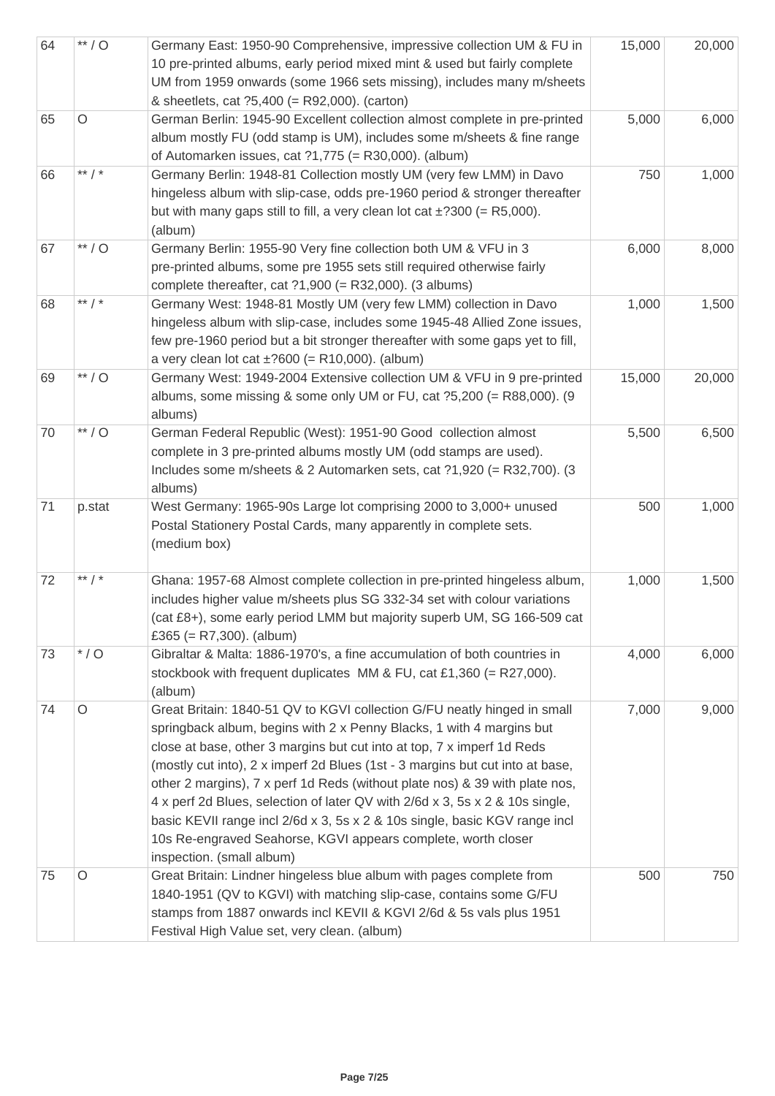| 64 | $^{\ast\ast}$ / O | Germany East: 1950-90 Comprehensive, impressive collection UM & FU in<br>10 pre-printed albums, early period mixed mint & used but fairly complete<br>UM from 1959 onwards (some 1966 sets missing), includes many m/sheets<br>& sheetlets, cat ?5,400 (= R92,000). (carton)                                                                                                                                                                                                                                                                                                                                                                           | 15,000 | 20,000 |
|----|-------------------|--------------------------------------------------------------------------------------------------------------------------------------------------------------------------------------------------------------------------------------------------------------------------------------------------------------------------------------------------------------------------------------------------------------------------------------------------------------------------------------------------------------------------------------------------------------------------------------------------------------------------------------------------------|--------|--------|
| 65 | $\circ$           | German Berlin: 1945-90 Excellent collection almost complete in pre-printed<br>album mostly FU (odd stamp is UM), includes some m/sheets & fine range<br>of Automarken issues, cat $?1,775 (= R30,000)$ . (album)                                                                                                                                                                                                                                                                                                                                                                                                                                       | 5,000  | 6,000  |
| 66 | ** $/$ *          | Germany Berlin: 1948-81 Collection mostly UM (very few LMM) in Davo<br>hingeless album with slip-case, odds pre-1960 period & stronger thereafter<br>but with many gaps still to fill, a very clean lot cat $\pm$ ?300 (= R5,000).<br>(album)                                                                                                                                                                                                                                                                                                                                                                                                          | 750    | 1,000  |
| 67 | $**/O$            | Germany Berlin: 1955-90 Very fine collection both UM & VFU in 3<br>pre-printed albums, some pre 1955 sets still required otherwise fairly<br>complete thereafter, cat $?1,900$ (= R32,000). (3 albums)                                                                                                                                                                                                                                                                                                                                                                                                                                                 | 6,000  | 8,000  |
| 68 | ** $/$ *          | Germany West: 1948-81 Mostly UM (very few LMM) collection in Davo<br>hingeless album with slip-case, includes some 1945-48 Allied Zone issues,<br>few pre-1960 period but a bit stronger thereafter with some gaps yet to fill,<br>a very clean lot cat $\pm$ ?600 (= R10,000). (album)                                                                                                                                                                                                                                                                                                                                                                | 1,000  | 1,500  |
| 69 | $**/O$            | Germany West: 1949-2004 Extensive collection UM & VFU in 9 pre-printed<br>albums, some missing & some only UM or FU, cat ?5,200 (= R88,000). (9<br>albums)                                                                                                                                                                                                                                                                                                                                                                                                                                                                                             | 15,000 | 20,000 |
| 70 | $**/O$            | German Federal Republic (West): 1951-90 Good collection almost<br>complete in 3 pre-printed albums mostly UM (odd stamps are used).<br>Includes some m/sheets & 2 Automarken sets, cat ?1,920 (= R32,700). (3<br>albums)                                                                                                                                                                                                                                                                                                                                                                                                                               | 5,500  | 6,500  |
| 71 | p.stat            | West Germany: 1965-90s Large lot comprising 2000 to 3,000+ unused<br>Postal Stationery Postal Cards, many apparently in complete sets.<br>(medium box)                                                                                                                                                                                                                                                                                                                                                                                                                                                                                                 | 500    | 1,000  |
| 72 | ** $/$ *          | Ghana: 1957-68 Almost complete collection in pre-printed hingeless album,<br>includes higher value m/sheets plus SG 332-34 set with colour variations<br>(cat £8+), some early period LMM but majority superb UM, SG 166-509 cat<br>£365 (= $R7,300$ ). (album)                                                                                                                                                                                                                                                                                                                                                                                        | 1,000  | 1,500  |
| 73 | $*$ / O           | Gibraltar & Malta: 1886-1970's, a fine accumulation of both countries in<br>stockbook with frequent duplicates MM & FU, cat £1,360 (= R27,000).<br>(album)                                                                                                                                                                                                                                                                                                                                                                                                                                                                                             | 4,000  | 6,000  |
| 74 | $\circ$           | Great Britain: 1840-51 QV to KGVI collection G/FU neatly hinged in small<br>springback album, begins with 2 x Penny Blacks, 1 with 4 margins but<br>close at base, other 3 margins but cut into at top, 7 x imperf 1d Reds<br>(mostly cut into), 2 x imperf 2d Blues (1st - 3 margins but cut into at base,<br>other 2 margins), 7 x perf 1d Reds (without plate nos) & 39 with plate nos,<br>4 x perf 2d Blues, selection of later QV with 2/6d x 3, 5s x 2 & 10s single,<br>basic KEVII range incl 2/6d x 3, 5s x 2 & 10s single, basic KGV range incl<br>10s Re-engraved Seahorse, KGVI appears complete, worth closer<br>inspection. (small album) | 7,000  | 9,000  |
| 75 | O                 | Great Britain: Lindner hingeless blue album with pages complete from<br>1840-1951 (QV to KGVI) with matching slip-case, contains some G/FU<br>stamps from 1887 onwards incl KEVII & KGVI 2/6d & 5s vals plus 1951<br>Festival High Value set, very clean. (album)                                                                                                                                                                                                                                                                                                                                                                                      | 500    | 750    |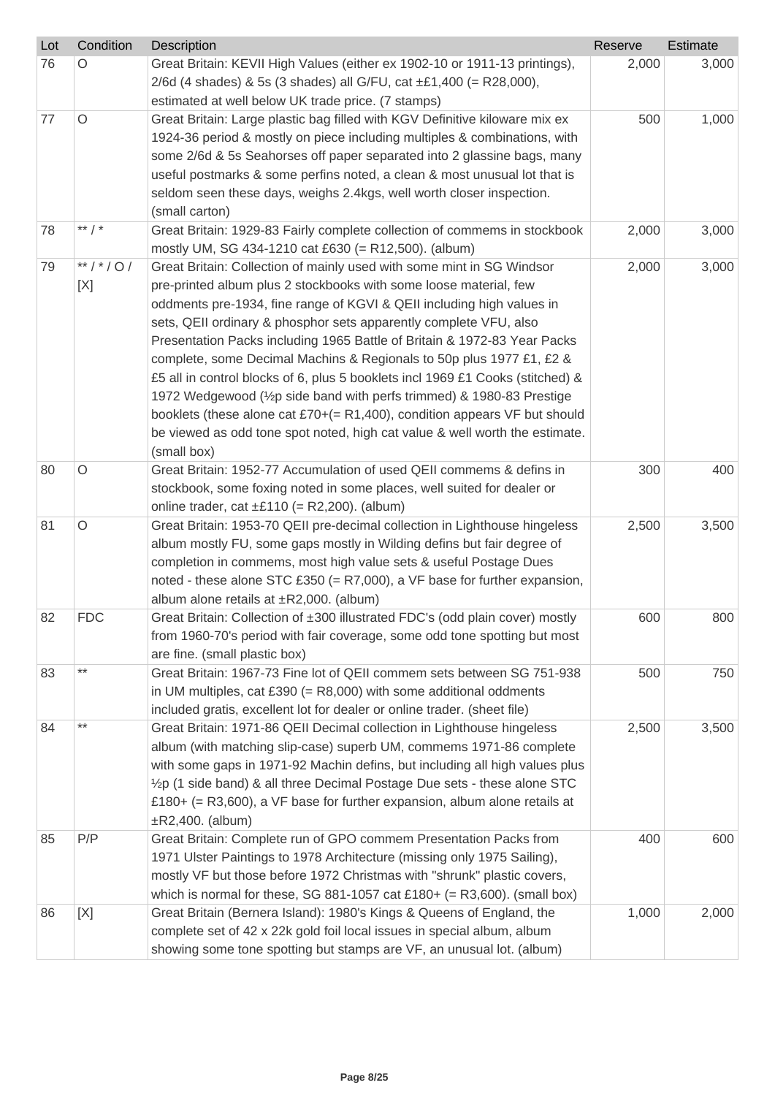| Lot | Condition      | Description                                                                                                                                                                                                                                                                                                                                                                                                                                                                                                                                                                                                                                                                                                                                                                           | Reserve | Estimate |
|-----|----------------|---------------------------------------------------------------------------------------------------------------------------------------------------------------------------------------------------------------------------------------------------------------------------------------------------------------------------------------------------------------------------------------------------------------------------------------------------------------------------------------------------------------------------------------------------------------------------------------------------------------------------------------------------------------------------------------------------------------------------------------------------------------------------------------|---------|----------|
| 76  | O              | Great Britain: KEVII High Values (either ex 1902-10 or 1911-13 printings),<br>2/6d (4 shades) & 5s (3 shades) all G/FU, cat $\pm \pounds 1,400$ (= R28,000),<br>estimated at well below UK trade price. (7 stamps)                                                                                                                                                                                                                                                                                                                                                                                                                                                                                                                                                                    | 2,000   | 3,000    |
| 77  | $\circ$        | Great Britain: Large plastic bag filled with KGV Definitive kiloware mix ex<br>1924-36 period & mostly on piece including multiples & combinations, with<br>some 2/6d & 5s Seahorses off paper separated into 2 glassine bags, many<br>useful postmarks & some perfins noted, a clean & most unusual lot that is<br>seldom seen these days, weighs 2.4kgs, well worth closer inspection.<br>(small carton)                                                                                                                                                                                                                                                                                                                                                                            | 500     | 1,000    |
| 78  | ** $/$ *       | Great Britain: 1929-83 Fairly complete collection of commems in stockbook<br>mostly UM, SG 434-1210 cat £630 (= R12,500). (album)                                                                                                                                                                                                                                                                                                                                                                                                                                                                                                                                                                                                                                                     | 2,000   | 3,000    |
| 79  | **/*/0/<br>[X] | Great Britain: Collection of mainly used with some mint in SG Windsor<br>pre-printed album plus 2 stockbooks with some loose material, few<br>oddments pre-1934, fine range of KGVI & QEII including high values in<br>sets, QEII ordinary & phosphor sets apparently complete VFU, also<br>Presentation Packs including 1965 Battle of Britain & 1972-83 Year Packs<br>complete, some Decimal Machins & Regionals to 50p plus 1977 £1, £2 &<br>£5 all in control blocks of 6, plus 5 booklets incl 1969 £1 Cooks (stitched) &<br>1972 Wedgewood (1/2p side band with perfs trimmed) & 1980-83 Prestige<br>booklets (these alone cat £70+( $=$ R1,400), condition appears VF but should<br>be viewed as odd tone spot noted, high cat value & well worth the estimate.<br>(small box) | 2,000   | 3,000    |
| 80  | $\circ$        | Great Britain: 1952-77 Accumulation of used QEII commems & defins in<br>stockbook, some foxing noted in some places, well suited for dealer or<br>online trader, cat $\pm$ £110 (= R2,200). (album)                                                                                                                                                                                                                                                                                                                                                                                                                                                                                                                                                                                   | 300     | 400      |
| 81  | $\circ$        | Great Britain: 1953-70 QEII pre-decimal collection in Lighthouse hingeless<br>album mostly FU, some gaps mostly in Wilding defins but fair degree of<br>completion in commems, most high value sets & useful Postage Dues<br>noted - these alone STC £350 (= $R7,000$ ), a VF base for further expansion,<br>album alone retails at $\pm$ R2,000. (album)                                                                                                                                                                                                                                                                                                                                                                                                                             | 2,500   | 3,500    |
| 82  | <b>FDC</b>     | Great Britain: Collection of ±300 illustrated FDC's (odd plain cover) mostly<br>from 1960-70's period with fair coverage, some odd tone spotting but most<br>are fine. (small plastic box)                                                                                                                                                                                                                                                                                                                                                                                                                                                                                                                                                                                            | 600     | 800      |
| 83  | $***$          | Great Britain: 1967-73 Fine lot of QEII commem sets between SG 751-938<br>in UM multiples, cat £390 (= $R8,000$ ) with some additional oddments<br>included gratis, excellent lot for dealer or online trader. (sheet file)                                                                                                                                                                                                                                                                                                                                                                                                                                                                                                                                                           | 500     | 750      |
| 84  | $***$          | Great Britain: 1971-86 QEII Decimal collection in Lighthouse hingeless<br>album (with matching slip-case) superb UM, commems 1971-86 complete<br>with some gaps in 1971-92 Machin defins, but including all high values plus<br>1/2p (1 side band) & all three Decimal Postage Due sets - these alone STC<br>£180+ (= R3,600), a VF base for further expansion, album alone retails at<br>$\pm$ R2,400. (album)                                                                                                                                                                                                                                                                                                                                                                       | 2,500   | 3,500    |
| 85  | P/P            | Great Britain: Complete run of GPO commem Presentation Packs from<br>1971 Ulster Paintings to 1978 Architecture (missing only 1975 Sailing),<br>mostly VF but those before 1972 Christmas with "shrunk" plastic covers,<br>which is normal for these, SG 881-1057 cat £180+ (= $R3,600$ ). (small box)                                                                                                                                                                                                                                                                                                                                                                                                                                                                                | 400     | 600      |
| 86  | [X]            | Great Britain (Bernera Island): 1980's Kings & Queens of England, the<br>complete set of 42 x 22k gold foil local issues in special album, album<br>showing some tone spotting but stamps are VF, an unusual lot. (album)                                                                                                                                                                                                                                                                                                                                                                                                                                                                                                                                                             | 1,000   | 2,000    |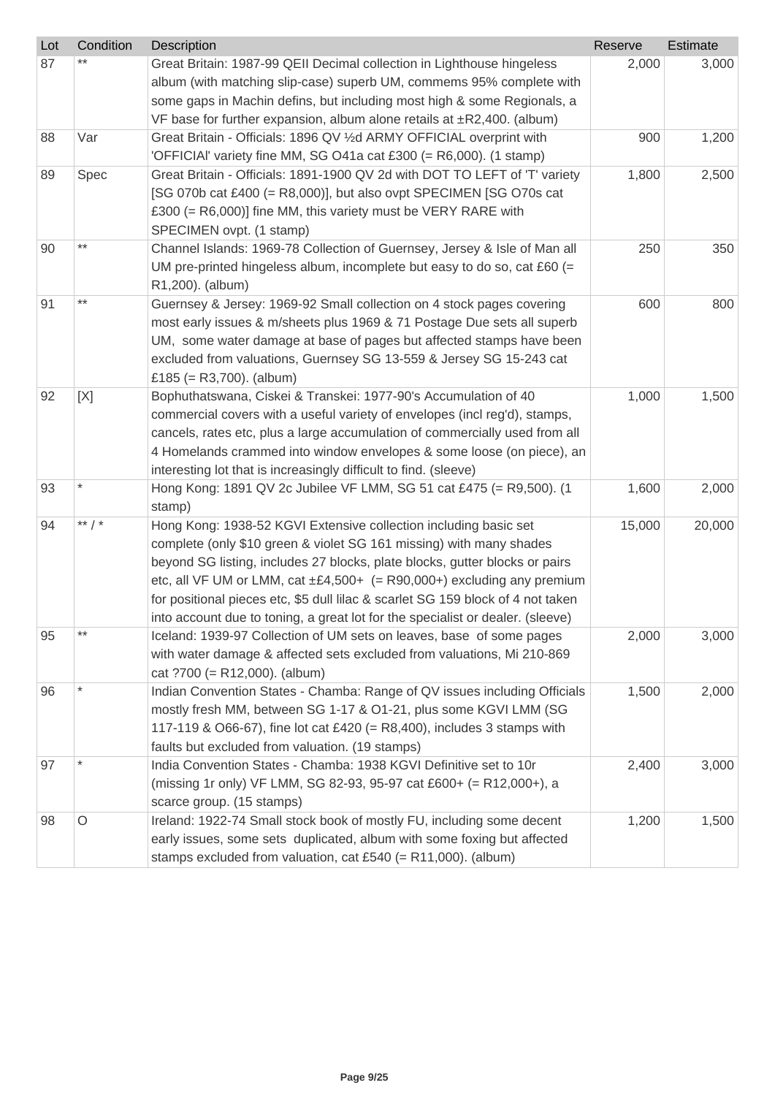| Lot | Condition | Description                                                                                                                                                                                                                                                                                                                                                                                                                                                                          | Reserve | <b>Estimate</b> |
|-----|-----------|--------------------------------------------------------------------------------------------------------------------------------------------------------------------------------------------------------------------------------------------------------------------------------------------------------------------------------------------------------------------------------------------------------------------------------------------------------------------------------------|---------|-----------------|
| 87  |           | Great Britain: 1987-99 QEII Decimal collection in Lighthouse hingeless<br>album (with matching slip-case) superb UM, commems 95% complete with<br>some gaps in Machin defins, but including most high & some Regionals, a<br>VF base for further expansion, album alone retails at $\pm$ R2,400. (album)                                                                                                                                                                             | 2,000   | 3,000           |
| 88  | Var       | Great Britain - Officials: 1896 QV 1/2d ARMY OFFICIAL overprint with<br>'OFFICIAI' variety fine MM, SG O41a cat £300 (= R6,000). (1 stamp)                                                                                                                                                                                                                                                                                                                                           | 900     | 1,200           |
| 89  | Spec      | Great Britain - Officials: 1891-1900 QV 2d with DOT TO LEFT of 'T' variety<br>[SG 070b cat £400 (= R8,000)], but also ovpt SPECIMEN [SG O70s cat<br>£300 (= $R6,000$ )] fine MM, this variety must be VERY RARE with<br>SPECIMEN ovpt. (1 stamp)                                                                                                                                                                                                                                     | 1,800   | 2,500           |
| 90  | $***$     | Channel Islands: 1969-78 Collection of Guernsey, Jersey & Isle of Man all<br>UM pre-printed hingeless album, incomplete but easy to do so, cat £60 (=<br>R1,200). (album)                                                                                                                                                                                                                                                                                                            | 250     | 350             |
| 91  | $***$     | Guernsey & Jersey: 1969-92 Small collection on 4 stock pages covering<br>most early issues & m/sheets plus 1969 & 71 Postage Due sets all superb<br>UM, some water damage at base of pages but affected stamps have been<br>excluded from valuations, Guernsey SG 13-559 & Jersey SG 15-243 cat<br>£185 (= $R3,700$ ). (album)                                                                                                                                                       | 600     | 800             |
| 92  | [X]       | Bophuthatswana, Ciskei & Transkei: 1977-90's Accumulation of 40<br>commercial covers with a useful variety of envelopes (incl reg'd), stamps,<br>cancels, rates etc, plus a large accumulation of commercially used from all<br>4 Homelands crammed into window envelopes & some loose (on piece), an<br>interesting lot that is increasingly difficult to find. (sleeve)                                                                                                            | 1,000   | 1,500           |
| 93  |           | Hong Kong: 1891 QV 2c Jubilee VF LMM, SG 51 cat £475 (= R9,500). (1<br>stamp)                                                                                                                                                                                                                                                                                                                                                                                                        | 1,600   | 2,000           |
| 94  | ** $/$ *  | Hong Kong: 1938-52 KGVI Extensive collection including basic set<br>complete (only \$10 green & violet SG 161 missing) with many shades<br>beyond SG listing, includes 27 blocks, plate blocks, gutter blocks or pairs<br>etc, all VF UM or LMM, cat $\pm \mathcal{E}4,500+$ (= R90,000+) excluding any premium<br>for positional pieces etc, \$5 dull lilac & scarlet SG 159 block of 4 not taken<br>into account due to toning, a great lot for the specialist or dealer. (sleeve) | 15,000  | 20,000          |
| 95  | $***$     | Iceland: 1939-97 Collection of UM sets on leaves, base of some pages<br>with water damage & affected sets excluded from valuations, Mi 210-869<br>cat ?700 (= R12,000). (album)                                                                                                                                                                                                                                                                                                      | 2,000   | 3,000           |
| 96  |           | Indian Convention States - Chamba: Range of QV issues including Officials<br>mostly fresh MM, between SG 1-17 & O1-21, plus some KGVI LMM (SG<br>117-119 & O66-67), fine lot cat £420 (= R8,400), includes 3 stamps with<br>faults but excluded from valuation. (19 stamps)                                                                                                                                                                                                          | 1,500   | 2,000           |
| 97  |           | India Convention States - Chamba: 1938 KGVI Definitive set to 10r<br>(missing 1r only) VF LMM, SG 82-93, 95-97 cat £600+ (= R12,000+), a<br>scarce group. (15 stamps)                                                                                                                                                                                                                                                                                                                | 2,400   | 3,000           |
| 98  | O         | Ireland: 1922-74 Small stock book of mostly FU, including some decent<br>early issues, some sets duplicated, album with some foxing but affected<br>stamps excluded from valuation, cat £540 (= $R11,000$ ). (album)                                                                                                                                                                                                                                                                 | 1,200   | 1,500           |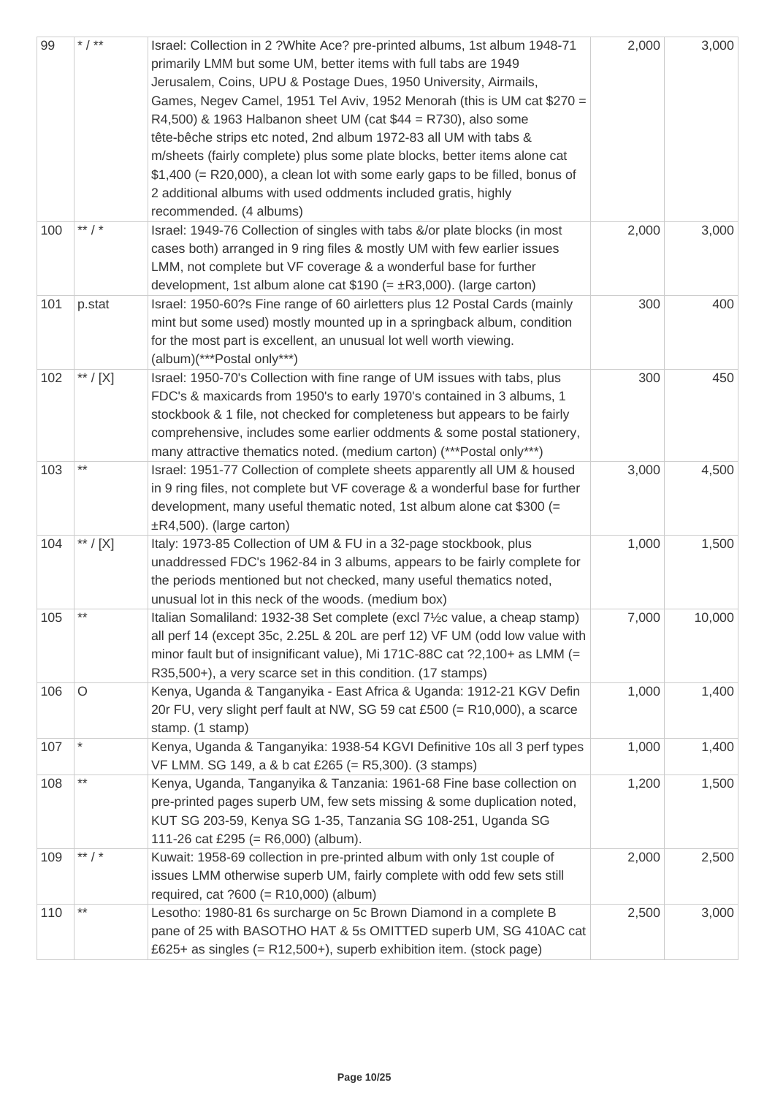| 99  | * $/$ **            | Israel: Collection in 2 ?White Ace? pre-printed albums, 1st album 1948-71<br>primarily LMM but some UM, better items with full tabs are 1949<br>Jerusalem, Coins, UPU & Postage Dues, 1950 University, Airmails,<br>Games, Negev Camel, 1951 Tel Aviv, 1952 Menorah (this is UM cat \$270 =<br>R4,500) & 1963 Halbanon sheet UM (cat $$44 = R730$ ), also some<br>tête-bêche strips etc noted, 2nd album 1972-83 all UM with tabs &<br>m/sheets (fairly complete) plus some plate blocks, better items alone cat<br>$$1,400$ (= R20,000), a clean lot with some early gaps to be filled, bonus of<br>2 additional albums with used oddments included gratis, highly<br>recommended. (4 albums) | 2,000 | 3,000  |
|-----|---------------------|------------------------------------------------------------------------------------------------------------------------------------------------------------------------------------------------------------------------------------------------------------------------------------------------------------------------------------------------------------------------------------------------------------------------------------------------------------------------------------------------------------------------------------------------------------------------------------------------------------------------------------------------------------------------------------------------|-------|--------|
| 100 | ** $/$ *            | Israel: 1949-76 Collection of singles with tabs &/or plate blocks (in most<br>cases both) arranged in 9 ring files & mostly UM with few earlier issues<br>LMM, not complete but VF coverage & a wonderful base for further<br>development, 1st album alone cat $$190 (= \pm R3,000)$ . (large carton)                                                                                                                                                                                                                                                                                                                                                                                          | 2,000 | 3,000  |
| 101 | p.stat              | Israel: 1950-60?s Fine range of 60 airletters plus 12 Postal Cards (mainly<br>mint but some used) mostly mounted up in a springback album, condition<br>for the most part is excellent, an unusual lot well worth viewing.<br>(album)(***Postal only***)                                                                                                                                                                                                                                                                                                                                                                                                                                       | 300   | 400    |
| 102 | $^{\ast\ast}$ / [X] | Israel: 1950-70's Collection with fine range of UM issues with tabs, plus<br>FDC's & maxicards from 1950's to early 1970's contained in 3 albums, 1<br>stockbook & 1 file, not checked for completeness but appears to be fairly<br>comprehensive, includes some earlier oddments & some postal stationery,<br>many attractive thematics noted. (medium carton) (***Postal only***)                                                                                                                                                                                                                                                                                                            | 300   | 450    |
| 103 | $***$               | Israel: 1951-77 Collection of complete sheets apparently all UM & housed<br>in 9 ring files, not complete but VF coverage & a wonderful base for further<br>development, many useful thematic noted, 1st album alone cat \$300 (=<br>$\pm$ R4,500). (large carton)                                                                                                                                                                                                                                                                                                                                                                                                                             | 3,000 | 4,500  |
| 104 | $^{\ast\ast}$ / [X] | Italy: 1973-85 Collection of UM & FU in a 32-page stockbook, plus<br>unaddressed FDC's 1962-84 in 3 albums, appears to be fairly complete for<br>the periods mentioned but not checked, many useful thematics noted,<br>unusual lot in this neck of the woods. (medium box)                                                                                                                                                                                                                                                                                                                                                                                                                    | 1,000 | 1,500  |
| 105 | $***$               | Italian Somaliland: 1932-38 Set complete (excl 7½c value, a cheap stamp)<br>all perf 14 (except 35c, 2.25L & 20L are perf 12) VF UM (odd low value with<br>minor fault but of insignificant value), Mi 171C-88C cat ?2,100+ as LMM (=<br>R35,500+), a very scarce set in this condition. (17 stamps)                                                                                                                                                                                                                                                                                                                                                                                           | 7,000 | 10,000 |
| 106 | $\circ$             | Kenya, Uganda & Tanganyika - East Africa & Uganda: 1912-21 KGV Defin<br>20r FU, very slight perf fault at NW, SG 59 cat £500 (= R10,000), a scarce<br>stamp. (1 stamp)                                                                                                                                                                                                                                                                                                                                                                                                                                                                                                                         | 1,000 | 1,400  |
| 107 |                     | Kenya, Uganda & Tanganyika: 1938-54 KGVI Definitive 10s all 3 perf types<br>VF LMM. SG 149, a & b cat £265 (= R5,300). (3 stamps)                                                                                                                                                                                                                                                                                                                                                                                                                                                                                                                                                              | 1,000 | 1,400  |
| 108 | $***$               | Kenya, Uganda, Tanganyika & Tanzania: 1961-68 Fine base collection on<br>pre-printed pages superb UM, few sets missing & some duplication noted,<br>KUT SG 203-59, Kenya SG 1-35, Tanzania SG 108-251, Uganda SG<br>111-26 cat £295 (= $R6,000$ ) (album).                                                                                                                                                                                                                                                                                                                                                                                                                                     | 1,200 | 1,500  |
| 109 | ** $/$ *            | Kuwait: 1958-69 collection in pre-printed album with only 1st couple of<br>issues LMM otherwise superb UM, fairly complete with odd few sets still<br>required, cat $?600 (= R10,000)$ (album)                                                                                                                                                                                                                                                                                                                                                                                                                                                                                                 | 2,000 | 2,500  |
| 110 | $***$               | Lesotho: 1980-81 6s surcharge on 5c Brown Diamond in a complete B<br>pane of 25 with BASOTHO HAT & 5s OMITTED superb UM, SG 410AC cat<br>£625+ as singles (= $R12,500+$ ), superb exhibition item. (stock page)                                                                                                                                                                                                                                                                                                                                                                                                                                                                                | 2,500 | 3,000  |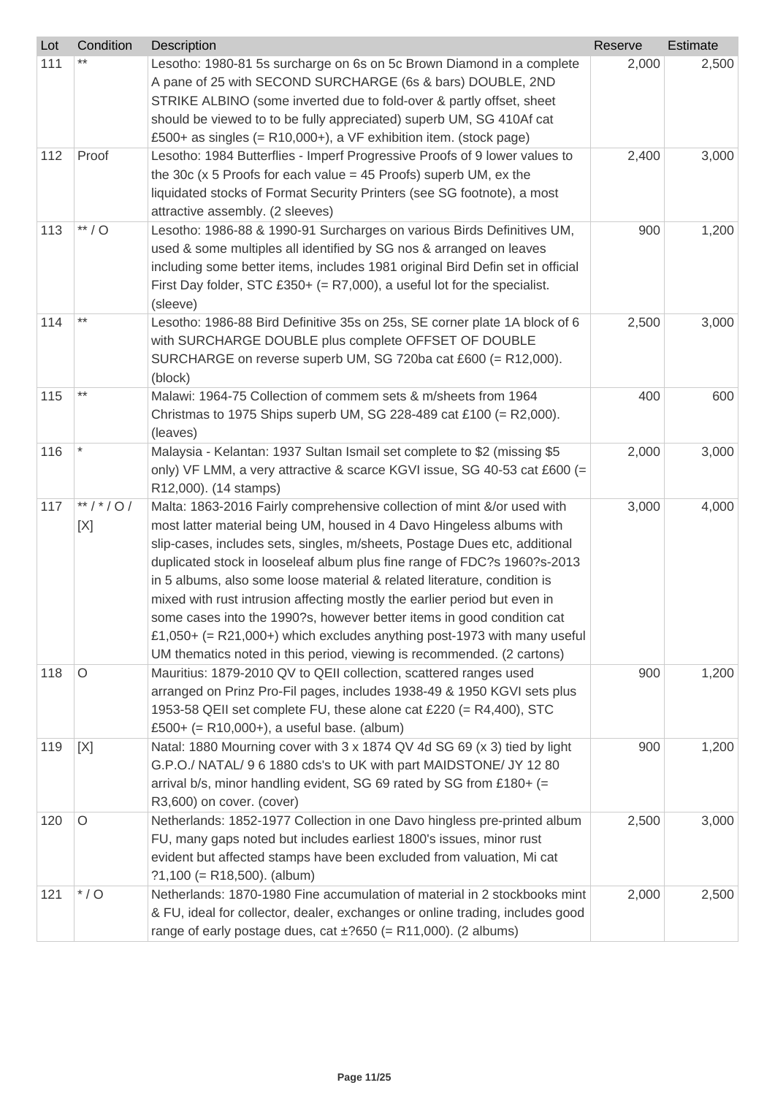| Lot | Condition      | Description                                                                                                                                                                                                                                                                                                                                                                                                                                                                                                                                                                                                                                                                                        | Reserve | Estimate |
|-----|----------------|----------------------------------------------------------------------------------------------------------------------------------------------------------------------------------------------------------------------------------------------------------------------------------------------------------------------------------------------------------------------------------------------------------------------------------------------------------------------------------------------------------------------------------------------------------------------------------------------------------------------------------------------------------------------------------------------------|---------|----------|
| 111 |                | Lesotho: 1980-81 5s surcharge on 6s on 5c Brown Diamond in a complete<br>A pane of 25 with SECOND SURCHARGE (6s & bars) DOUBLE, 2ND<br>STRIKE ALBINO (some inverted due to fold-over & partly offset, sheet<br>should be viewed to to be fully appreciated) superb UM, SG 410Af cat                                                                                                                                                                                                                                                                                                                                                                                                                | 2,000   | 2,500    |
|     |                | £500+ as singles $(= R10,000+)$ , a VF exhibition item. (stock page)                                                                                                                                                                                                                                                                                                                                                                                                                                                                                                                                                                                                                               |         |          |
| 112 | Proof          | Lesotho: 1984 Butterflies - Imperf Progressive Proofs of 9 lower values to<br>the 30 $c$ (x 5 Proofs for each value = 45 Proofs) superb UM, ex the<br>liquidated stocks of Format Security Printers (see SG footnote), a most<br>attractive assembly. (2 sleeves)                                                                                                                                                                                                                                                                                                                                                                                                                                  | 2,400   | 3,000    |
| 113 | $**/O$         | Lesotho: 1986-88 & 1990-91 Surcharges on various Birds Definitives UM,<br>used & some multiples all identified by SG nos & arranged on leaves<br>including some better items, includes 1981 original Bird Defin set in official<br>First Day folder, STC £350+ (= $R7,000$ ), a useful lot for the specialist.<br>(sleeve)                                                                                                                                                                                                                                                                                                                                                                         | 900     | 1,200    |
| 114 | $***$          | Lesotho: 1986-88 Bird Definitive 35s on 25s, SE corner plate 1A block of 6<br>with SURCHARGE DOUBLE plus complete OFFSET OF DOUBLE<br>SURCHARGE on reverse superb UM, SG 720ba cat £600 (= R12,000).<br>(block)                                                                                                                                                                                                                                                                                                                                                                                                                                                                                    | 2,500   | 3,000    |
| 115 | $***$          | Malawi: 1964-75 Collection of commem sets & m/sheets from 1964<br>Christmas to 1975 Ships superb UM, SG 228-489 cat £100 (= R2,000).<br>(leaves)                                                                                                                                                                                                                                                                                                                                                                                                                                                                                                                                                   | 400     | 600      |
| 116 |                | Malaysia - Kelantan: 1937 Sultan Ismail set complete to \$2 (missing \$5<br>only) VF LMM, a very attractive & scarce KGVI issue, SG 40-53 cat £600 (=<br>R12,000). (14 stamps)                                                                                                                                                                                                                                                                                                                                                                                                                                                                                                                     | 2,000   | 3,000    |
| 117 | **/*/0/<br>[X] | Malta: 1863-2016 Fairly comprehensive collection of mint &/or used with<br>most latter material being UM, housed in 4 Davo Hingeless albums with<br>slip-cases, includes sets, singles, m/sheets, Postage Dues etc, additional<br>duplicated stock in looseleaf album plus fine range of FDC?s 1960?s-2013<br>in 5 albums, also some loose material & related literature, condition is<br>mixed with rust intrusion affecting mostly the earlier period but even in<br>some cases into the 1990?s, however better items in good condition cat<br>£1,050+ (= R21,000+) which excludes anything post-1973 with many useful<br>UM thematics noted in this period, viewing is recommended. (2 cartons) | 3,000   | 4,000    |
| 118 | $\circ$        | Mauritius: 1879-2010 QV to QEII collection, scattered ranges used<br>arranged on Prinz Pro-Fil pages, includes 1938-49 & 1950 KGVI sets plus<br>1953-58 QEII set complete FU, these alone cat £220 (= R4,400), STC<br>£500+ (= R10,000+), a useful base. (album)                                                                                                                                                                                                                                                                                                                                                                                                                                   | 900     | 1,200    |
| 119 | [X]            | Natal: 1880 Mourning cover with 3 x 1874 QV 4d SG 69 (x 3) tied by light<br>G.P.O./ NATAL/ 9 6 1880 cds's to UK with part MAIDSTONE/ JY 12 80<br>arrival b/s, minor handling evident, SG 69 rated by SG from £180+ (=<br>R3,600) on cover. (cover)                                                                                                                                                                                                                                                                                                                                                                                                                                                 | 900     | 1,200    |
| 120 | O              | Netherlands: 1852-1977 Collection in one Davo hingless pre-printed album<br>FU, many gaps noted but includes earliest 1800's issues, minor rust<br>evident but affected stamps have been excluded from valuation, Mi cat<br>$?1,100 (= R18,500)$ . (album)                                                                                                                                                                                                                                                                                                                                                                                                                                         | 2,500   | 3,000    |
| 121 | $*$ / O        | Netherlands: 1870-1980 Fine accumulation of material in 2 stockbooks mint<br>& FU, ideal for collector, dealer, exchanges or online trading, includes good<br>range of early postage dues, cat $\pm$ ?650 (= R11,000). (2 albums)                                                                                                                                                                                                                                                                                                                                                                                                                                                                  | 2,000   | 2,500    |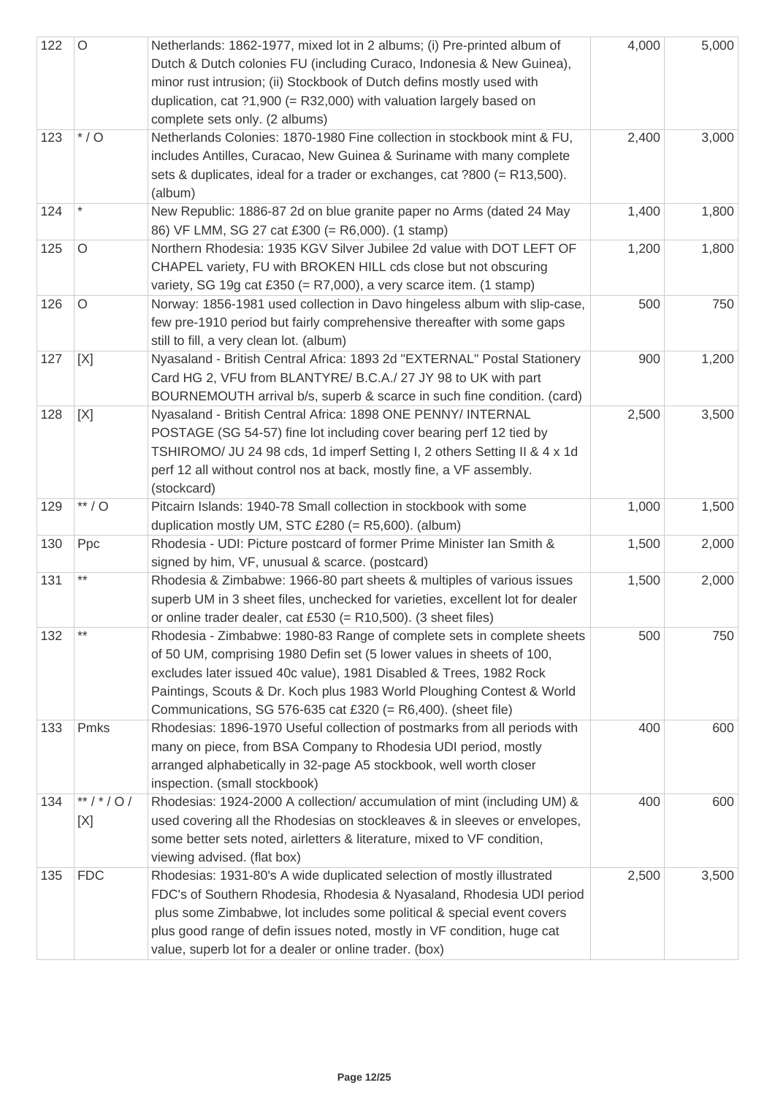| 122 | $\circ$        | Netherlands: 1862-1977, mixed lot in 2 albums; (i) Pre-printed album of<br>Dutch & Dutch colonies FU (including Curaco, Indonesia & New Guinea),<br>minor rust intrusion; (ii) Stockbook of Dutch defins mostly used with<br>duplication, cat $?1,900$ (= R32,000) with valuation largely based on<br>complete sets only. (2 albums)                               | 4,000 | 5,000 |
|-----|----------------|--------------------------------------------------------------------------------------------------------------------------------------------------------------------------------------------------------------------------------------------------------------------------------------------------------------------------------------------------------------------|-------|-------|
| 123 | $*$ / O        | Netherlands Colonies: 1870-1980 Fine collection in stockbook mint & FU,<br>includes Antilles, Curacao, New Guinea & Suriname with many complete<br>sets & duplicates, ideal for a trader or exchanges, cat ?800 (= R13,500).<br>(album)                                                                                                                            | 2,400 | 3,000 |
| 124 |                | New Republic: 1886-87 2d on blue granite paper no Arms (dated 24 May<br>86) VF LMM, SG 27 cat £300 (= R6,000). (1 stamp)                                                                                                                                                                                                                                           | 1,400 | 1,800 |
| 125 | $\circ$        | Northern Rhodesia: 1935 KGV Silver Jubilee 2d value with DOT LEFT OF<br>CHAPEL variety, FU with BROKEN HILL cds close but not obscuring<br>variety, SG 19g cat £350 (= $R7,000$ ), a very scarce item. (1 stamp)                                                                                                                                                   | 1,200 | 1,800 |
| 126 | $\circ$        | Norway: 1856-1981 used collection in Davo hingeless album with slip-case,<br>few pre-1910 period but fairly comprehensive thereafter with some gaps<br>still to fill, a very clean lot. (album)                                                                                                                                                                    | 500   | 750   |
| 127 | [X]            | Nyasaland - British Central Africa: 1893 2d "EXTERNAL" Postal Stationery<br>Card HG 2, VFU from BLANTYRE/ B.C.A./ 27 JY 98 to UK with part<br>BOURNEMOUTH arrival b/s, superb & scarce in such fine condition. (card)                                                                                                                                              | 900   | 1,200 |
| 128 | [X]            | Nyasaland - British Central Africa: 1898 ONE PENNY/ INTERNAL<br>POSTAGE (SG 54-57) fine lot including cover bearing perf 12 tied by<br>TSHIROMO/ JU 24 98 cds, 1d imperf Setting I, 2 others Setting II & 4 x 1d<br>perf 12 all without control nos at back, mostly fine, a VF assembly.<br>(stockcard)                                                            | 2,500 | 3,500 |
| 129 | $**/O$         | Pitcairn Islands: 1940-78 Small collection in stockbook with some<br>duplication mostly UM, STC £280 (= R5,600). (album)                                                                                                                                                                                                                                           | 1,000 | 1,500 |
| 130 | Ppc            | Rhodesia - UDI: Picture postcard of former Prime Minister Ian Smith &<br>signed by him, VF, unusual & scarce. (postcard)                                                                                                                                                                                                                                           | 1,500 | 2,000 |
| 131 | $***$          | Rhodesia & Zimbabwe: 1966-80 part sheets & multiples of various issues<br>superb UM in 3 sheet files, unchecked for varieties, excellent lot for dealer<br>or online trader dealer, cat £530 (= $R10,500$ ). (3 sheet files)                                                                                                                                       | 1,500 | 2,000 |
| 132 | $***$          | Rhodesia - Zimbabwe: 1980-83 Range of complete sets in complete sheets<br>of 50 UM, comprising 1980 Defin set (5 lower values in sheets of 100,<br>excludes later issued 40c value), 1981 Disabled & Trees, 1982 Rock<br>Paintings, Scouts & Dr. Koch plus 1983 World Ploughing Contest & World<br>Communications, SG 576-635 cat £320 (= $R6,400$ ). (sheet file) | 500   | 750   |
| 133 | Pmks           | Rhodesias: 1896-1970 Useful collection of postmarks from all periods with<br>many on piece, from BSA Company to Rhodesia UDI period, mostly<br>arranged alphabetically in 32-page A5 stockbook, well worth closer<br>inspection. (small stockbook)                                                                                                                 | 400   | 600   |
| 134 | **/*/0/<br>[X] | Rhodesias: 1924-2000 A collection/ accumulation of mint (including UM) &<br>used covering all the Rhodesias on stockleaves & in sleeves or envelopes,<br>some better sets noted, airletters & literature, mixed to VF condition,<br>viewing advised. (flat box)                                                                                                    | 400   | 600   |
| 135 | <b>FDC</b>     | Rhodesias: 1931-80's A wide duplicated selection of mostly illustrated<br>FDC's of Southern Rhodesia, Rhodesia & Nyasaland, Rhodesia UDI period<br>plus some Zimbabwe, lot includes some political & special event covers<br>plus good range of defin issues noted, mostly in VF condition, huge cat<br>value, superb lot for a dealer or online trader. (box)     | 2,500 | 3,500 |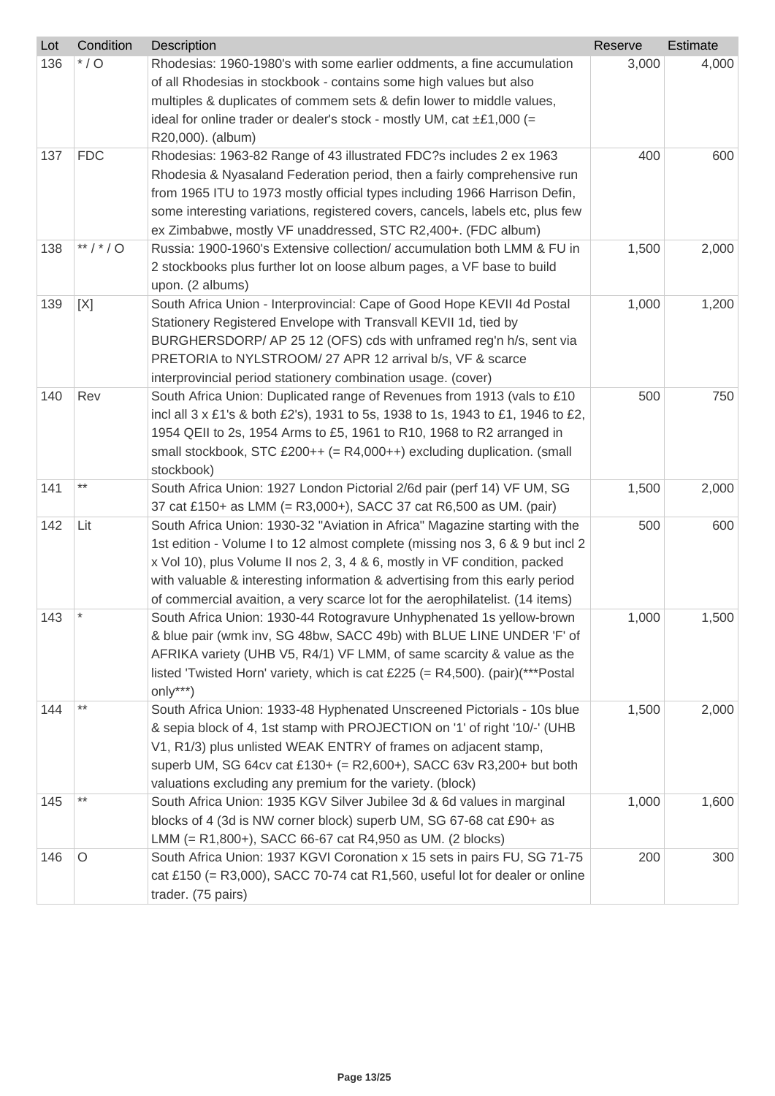| Lot | Condition  | Description                                                                                                                                                                                                                                                                                                                                                                                                | Reserve | Estimate |
|-----|------------|------------------------------------------------------------------------------------------------------------------------------------------------------------------------------------------------------------------------------------------------------------------------------------------------------------------------------------------------------------------------------------------------------------|---------|----------|
| 136 | $*$ / O    | Rhodesias: 1960-1980's with some earlier oddments, a fine accumulation<br>of all Rhodesias in stockbook - contains some high values but also<br>multiples & duplicates of commem sets & defin lower to middle values,<br>ideal for online trader or dealer's stock - mostly UM, cat $\pm \pounds 1,000$ (=<br>R20,000). (album)                                                                            | 3,000   | 4,000    |
| 137 | <b>FDC</b> | Rhodesias: 1963-82 Range of 43 illustrated FDC?s includes 2 ex 1963<br>Rhodesia & Nyasaland Federation period, then a fairly comprehensive run<br>from 1965 ITU to 1973 mostly official types including 1966 Harrison Defin,<br>some interesting variations, registered covers, cancels, labels etc, plus few<br>ex Zimbabwe, mostly VF unaddressed, STC R2,400+. (FDC album)                              | 400     | 600      |
| 138 | **/*/0     | Russia: 1900-1960's Extensive collection/accumulation both LMM & FU in<br>2 stockbooks plus further lot on loose album pages, a VF base to build<br>upon. (2 albums)                                                                                                                                                                                                                                       | 1,500   | 2,000    |
| 139 | [X]        | South Africa Union - Interprovincial: Cape of Good Hope KEVII 4d Postal<br>Stationery Registered Envelope with Transvall KEVII 1d, tied by<br>BURGHERSDORP/ AP 25 12 (OFS) cds with unframed reg'n h/s, sent via<br>PRETORIA to NYLSTROOM/ 27 APR 12 arrival b/s, VF & scarce<br>interprovincial period stationery combination usage. (cover)                                                              | 1,000   | 1,200    |
| 140 | Rev        | South Africa Union: Duplicated range of Revenues from 1913 (vals to £10<br>incl all 3 x £1's & both £2's), 1931 to 5s, 1938 to 1s, 1943 to £1, 1946 to £2,<br>1954 QEII to 2s, 1954 Arms to £5, 1961 to R10, 1968 to R2 arranged in<br>small stockbook, STC £200++ (= R4,000++) excluding duplication. (small<br>stockbook)                                                                                | 500     | 750      |
| 141 | $***$      | South Africa Union: 1927 London Pictorial 2/6d pair (perf 14) VF UM, SG<br>37 cat £150+ as LMM (= R3,000+), SACC 37 cat R6,500 as UM. (pair)                                                                                                                                                                                                                                                               | 1,500   | 2,000    |
| 142 | Lit        | South Africa Union: 1930-32 "Aviation in Africa" Magazine starting with the<br>1st edition - Volume I to 12 almost complete (missing nos 3, 6 & 9 but incl 2<br>x Vol 10), plus Volume II nos 2, 3, 4 & 6, mostly in VF condition, packed<br>with valuable & interesting information & advertising from this early period<br>of commercial avaition, a very scarce lot for the aerophilatelist. (14 items) | 500     | 600      |
| 143 |            | South Africa Union: 1930-44 Rotogravure Unhyphenated 1s yellow-brown<br>& blue pair (wmk inv, SG 48bw, SACC 49b) with BLUE LINE UNDER 'F' of<br>AFRIKA variety (UHB V5, R4/1) VF LMM, of same scarcity & value as the<br>listed 'Twisted Horn' variety, which is cat £225 (= R4,500). (pair)(***Postal<br>$only***$                                                                                        | 1,000   | 1,500    |
| 144 |            | South Africa Union: 1933-48 Hyphenated Unscreened Pictorials - 10s blue<br>& sepia block of 4, 1st stamp with PROJECTION on '1' of right '10/-' (UHB<br>V1, R1/3) plus unlisted WEAK ENTRY of frames on adjacent stamp,<br>superb UM, SG 64cv cat £130+ (= R2,600+), SACC 63v R3,200+ but both<br>valuations excluding any premium for the variety. (block)                                                | 1,500   | 2,000    |
| 145 | **         | South Africa Union: 1935 KGV Silver Jubilee 3d & 6d values in marginal<br>blocks of 4 (3d is NW corner block) superb UM, SG 67-68 cat £90+ as<br>LMM (= R1,800+), SACC 66-67 cat R4,950 as UM. (2 blocks)                                                                                                                                                                                                  | 1,000   | 1,600    |
| 146 | O          | South Africa Union: 1937 KGVI Coronation x 15 sets in pairs FU, SG 71-75<br>cat £150 (= $R3,000$ ), SACC 70-74 cat $R1,560$ , useful lot for dealer or online<br>trader. (75 pairs)                                                                                                                                                                                                                        | 200     | 300      |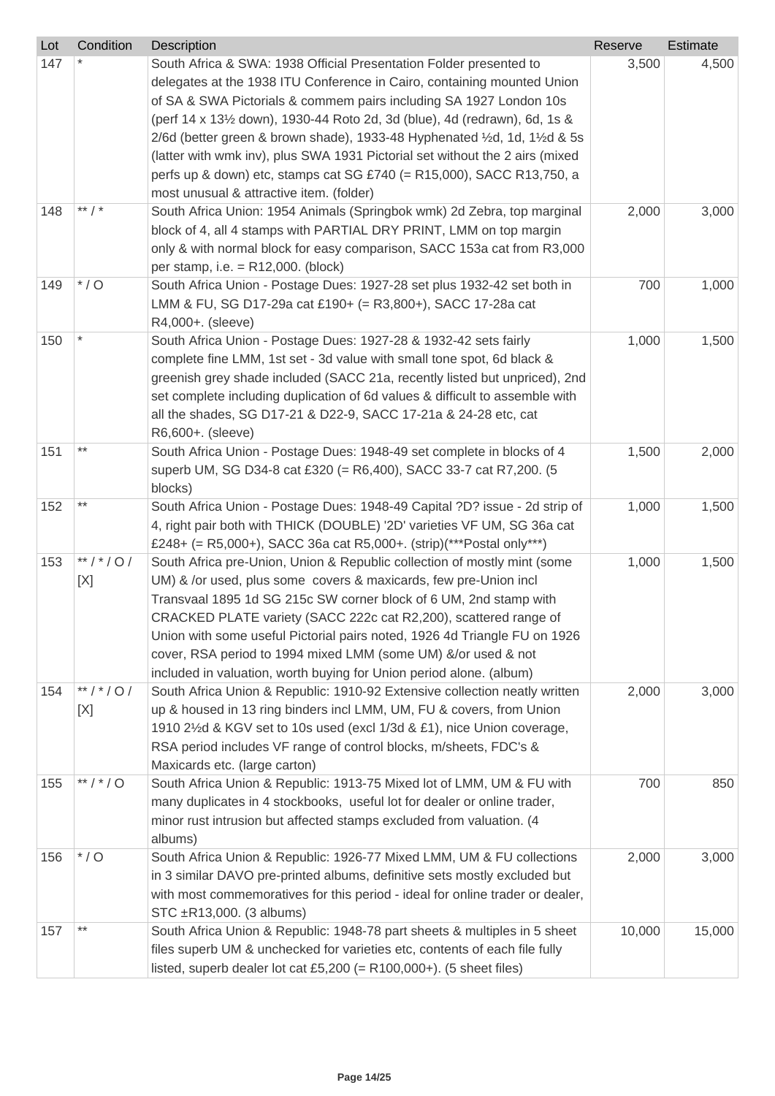| Lot | Condition      | Description                                                                                                                                                                                                                                                                                                                                                                                                                                                                                                                              | Reserve | Estimate |
|-----|----------------|------------------------------------------------------------------------------------------------------------------------------------------------------------------------------------------------------------------------------------------------------------------------------------------------------------------------------------------------------------------------------------------------------------------------------------------------------------------------------------------------------------------------------------------|---------|----------|
| 147 |                | South Africa & SWA: 1938 Official Presentation Folder presented to<br>delegates at the 1938 ITU Conference in Cairo, containing mounted Union<br>of SA & SWA Pictorials & commem pairs including SA 1927 London 10s<br>(perf 14 x 131/2 down), 1930-44 Roto 2d, 3d (blue), 4d (redrawn), 6d, 1s &<br>2/6d (better green & brown shade), 1933-48 Hyphenated 1/2d, 1d, 11/2d & 5s<br>(latter with wmk inv), plus SWA 1931 Pictorial set without the 2 airs (mixed<br>perfs up & down) etc, stamps cat SG £740 (= R15,000), SACC R13,750, a | 3,500   | 4,500    |
|     | ** $/$ *       | most unusual & attractive item. (folder)                                                                                                                                                                                                                                                                                                                                                                                                                                                                                                 |         |          |
| 148 |                | South Africa Union: 1954 Animals (Springbok wmk) 2d Zebra, top marginal<br>block of 4, all 4 stamps with PARTIAL DRY PRINT, LMM on top margin<br>only & with normal block for easy comparison, SACC 153a cat from R3,000<br>per stamp, i.e. $= R12,000$ . (block)                                                                                                                                                                                                                                                                        | 2,000   | 3,000    |
| 149 | $*$ / O        | South Africa Union - Postage Dues: 1927-28 set plus 1932-42 set both in<br>LMM & FU, SG D17-29a cat £190+ (= R3,800+), SACC 17-28a cat<br>R4,000+. (sleeve)                                                                                                                                                                                                                                                                                                                                                                              | 700     | 1,000    |
| 150 |                | South Africa Union - Postage Dues: 1927-28 & 1932-42 sets fairly<br>complete fine LMM, 1st set - 3d value with small tone spot, 6d black &<br>greenish grey shade included (SACC 21a, recently listed but unpriced), 2nd<br>set complete including duplication of 6d values & difficult to assemble with<br>all the shades, SG D17-21 & D22-9, SACC 17-21a & 24-28 etc, cat<br>R6,600+. (sleeve)                                                                                                                                         | 1,000   | 1,500    |
| 151 | **             | South Africa Union - Postage Dues: 1948-49 set complete in blocks of 4<br>superb UM, SG D34-8 cat £320 (= R6,400), SACC 33-7 cat R7,200. (5<br>blocks)                                                                                                                                                                                                                                                                                                                                                                                   | 1,500   | 2,000    |
| 152 | **             | South Africa Union - Postage Dues: 1948-49 Capital ?D? issue - 2d strip of<br>4, right pair both with THICK (DOUBLE) '2D' varieties VF UM, SG 36a cat<br>£248+ (= R5,000+), SACC 36a cat R5,000+. (strip)(***Postal only***)                                                                                                                                                                                                                                                                                                             | 1,000   | 1,500    |
| 153 | **/*/0/<br>[X] | South Africa pre-Union, Union & Republic collection of mostly mint (some<br>UM) & /or used, plus some covers & maxicards, few pre-Union incl<br>Transvaal 1895 1d SG 215c SW corner block of 6 UM, 2nd stamp with<br>CRACKED PLATE variety (SACC 222c cat R2,200), scattered range of<br>Union with some useful Pictorial pairs noted, 1926 4d Triangle FU on 1926<br>cover, RSA period to 1994 mixed LMM (some UM) &/or used & not<br>included in valuation, worth buying for Union period alone. (album)                               | 1,000   | 1,500    |
| 154 | **/*/0/<br>[X] | South Africa Union & Republic: 1910-92 Extensive collection neatly written<br>up & housed in 13 ring binders incl LMM, UM, FU & covers, from Union<br>1910 21/2d & KGV set to 10s used (excl 1/3d & £1), nice Union coverage,<br>RSA period includes VF range of control blocks, m/sheets, FDC's &<br>Maxicards etc. (large carton)                                                                                                                                                                                                      | 2,000   | 3,000    |
| 155 | ** / * / O     | South Africa Union & Republic: 1913-75 Mixed lot of LMM, UM & FU with<br>many duplicates in 4 stockbooks, useful lot for dealer or online trader,<br>minor rust intrusion but affected stamps excluded from valuation. (4<br>albums)                                                                                                                                                                                                                                                                                                     | 700     | 850      |
| 156 | $*$ / O        | South Africa Union & Republic: 1926-77 Mixed LMM, UM & FU collections<br>in 3 similar DAVO pre-printed albums, definitive sets mostly excluded but<br>with most commemoratives for this period - ideal for online trader or dealer,<br>STC ±R13,000. (3 albums)                                                                                                                                                                                                                                                                          | 2,000   | 3,000    |
| 157 | $***$          | South Africa Union & Republic: 1948-78 part sheets & multiples in 5 sheet<br>files superb UM & unchecked for varieties etc, contents of each file fully<br>listed, superb dealer lot cat £5,200 (= $R100,000+$ ). (5 sheet files)                                                                                                                                                                                                                                                                                                        | 10,000  | 15,000   |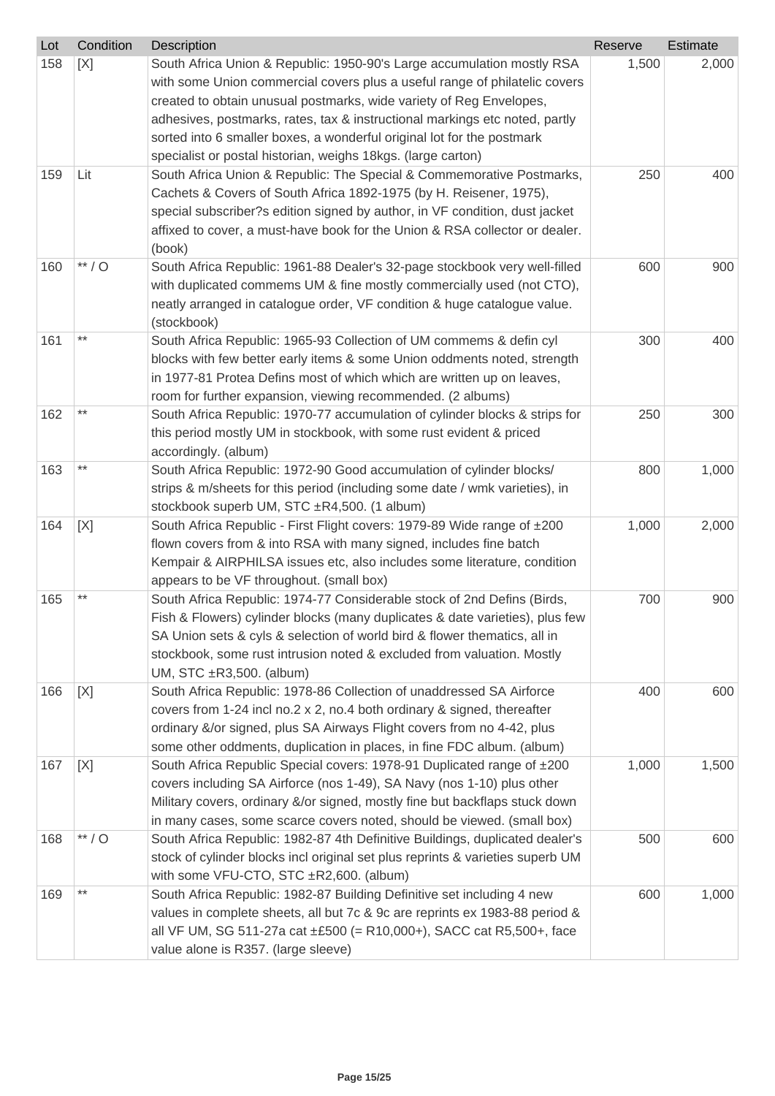| Lot | Condition | Description                                                                                                                                                                                                                                                                                                                                                                                                                                          | Reserve | Estimate |
|-----|-----------|------------------------------------------------------------------------------------------------------------------------------------------------------------------------------------------------------------------------------------------------------------------------------------------------------------------------------------------------------------------------------------------------------------------------------------------------------|---------|----------|
| 158 | [X]       | South Africa Union & Republic: 1950-90's Large accumulation mostly RSA<br>with some Union commercial covers plus a useful range of philatelic covers<br>created to obtain unusual postmarks, wide variety of Reg Envelopes,<br>adhesives, postmarks, rates, tax & instructional markings etc noted, partly<br>sorted into 6 smaller boxes, a wonderful original lot for the postmark<br>specialist or postal historian, weighs 18kgs. (large carton) | 1,500   | 2,000    |
| 159 | Lit       | South Africa Union & Republic: The Special & Commemorative Postmarks,<br>Cachets & Covers of South Africa 1892-1975 (by H. Reisener, 1975),<br>special subscriber?s edition signed by author, in VF condition, dust jacket<br>affixed to cover, a must-have book for the Union & RSA collector or dealer.<br>(book)                                                                                                                                  | 250     | 400      |
| 160 | $**/O$    | South Africa Republic: 1961-88 Dealer's 32-page stockbook very well-filled<br>with duplicated commems UM & fine mostly commercially used (not CTO),<br>neatly arranged in catalogue order, VF condition & huge catalogue value.<br>(stockbook)                                                                                                                                                                                                       | 600     | 900      |
| 161 | $***$     | South Africa Republic: 1965-93 Collection of UM commems & defin cyl<br>blocks with few better early items & some Union oddments noted, strength<br>in 1977-81 Protea Defins most of which which are written up on leaves,<br>room for further expansion, viewing recommended. (2 albums)                                                                                                                                                             | 300     | 400      |
| 162 | $***$     | South Africa Republic: 1970-77 accumulation of cylinder blocks & strips for<br>this period mostly UM in stockbook, with some rust evident & priced<br>accordingly. (album)                                                                                                                                                                                                                                                                           | 250     | 300      |
| 163 | $***$     | South Africa Republic: 1972-90 Good accumulation of cylinder blocks/<br>strips & m/sheets for this period (including some date / wmk varieties), in<br>stockbook superb UM, STC ±R4,500. (1 album)                                                                                                                                                                                                                                                   | 800     | 1,000    |
| 164 | [X]       | South Africa Republic - First Flight covers: 1979-89 Wide range of ±200<br>flown covers from & into RSA with many signed, includes fine batch<br>Kempair & AIRPHILSA issues etc, also includes some literature, condition<br>appears to be VF throughout. (small box)                                                                                                                                                                                | 1,000   | 2,000    |
| 165 |           | South Africa Republic: 1974-77 Considerable stock of 2nd Defins (Birds,<br>Fish & Flowers) cylinder blocks (many duplicates & date varieties), plus few<br>SA Union sets & cyls & selection of world bird & flower thematics, all in<br>stockbook, some rust intrusion noted & excluded from valuation. Mostly<br>UM, STC ±R3,500. (album)                                                                                                           | 700     | 900      |
| 166 | [X]       | South Africa Republic: 1978-86 Collection of unaddressed SA Airforce<br>covers from 1-24 incl no.2 x 2, no.4 both ordinary & signed, thereafter<br>ordinary &/or signed, plus SA Airways Flight covers from no 4-42, plus<br>some other oddments, duplication in places, in fine FDC album. (album)                                                                                                                                                  | 400     | 600      |
| 167 | [X]       | South Africa Republic Special covers: 1978-91 Duplicated range of ±200<br>covers including SA Airforce (nos 1-49), SA Navy (nos 1-10) plus other<br>Military covers, ordinary &/or signed, mostly fine but backflaps stuck down<br>in many cases, some scarce covers noted, should be viewed. (small box)                                                                                                                                            | 1,000   | 1,500    |
| 168 | $**/O$    | South Africa Republic: 1982-87 4th Definitive Buildings, duplicated dealer's<br>stock of cylinder blocks incl original set plus reprints & varieties superb UM<br>with some VFU-CTO, STC ±R2,600. (album)                                                                                                                                                                                                                                            | 500     | 600      |
| 169 | $***$     | South Africa Republic: 1982-87 Building Definitive set including 4 new<br>values in complete sheets, all but 7c & 9c are reprints ex 1983-88 period &<br>all VF UM, SG 511-27a cat ±£500 (= R10,000+), SACC cat R5,500+, face<br>value alone is R357. (large sleeve)                                                                                                                                                                                 | 600     | 1,000    |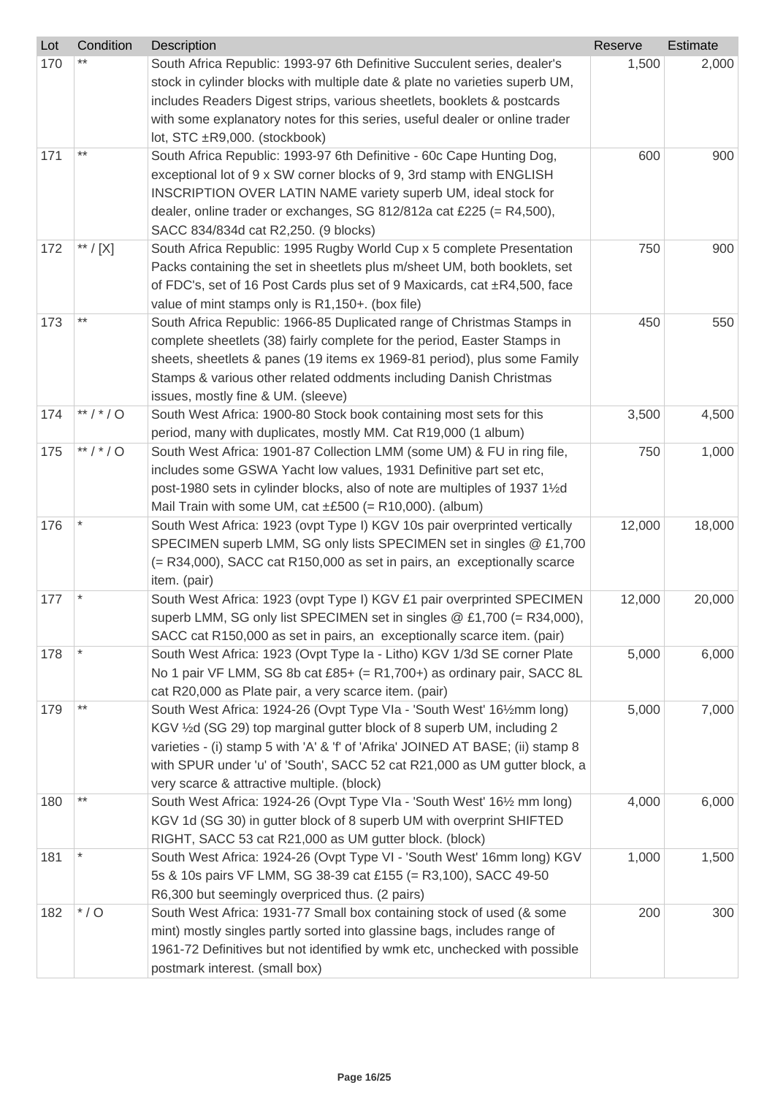| Lot | Condition           | Description                                                                                                                      | Reserve | Estimate |
|-----|---------------------|----------------------------------------------------------------------------------------------------------------------------------|---------|----------|
| 170 |                     | South Africa Republic: 1993-97 6th Definitive Succulent series, dealer's                                                         | 1,500   | 2,000    |
|     |                     | stock in cylinder blocks with multiple date & plate no varieties superb UM,                                                      |         |          |
|     |                     | includes Readers Digest strips, various sheetlets, booklets & postcards                                                          |         |          |
|     |                     | with some explanatory notes for this series, useful dealer or online trader                                                      |         |          |
|     |                     | lot, STC ±R9,000. (stockbook)                                                                                                    |         |          |
| 171 | $***$               | South Africa Republic: 1993-97 6th Definitive - 60c Cape Hunting Dog,                                                            | 600     | 900      |
|     |                     | exceptional lot of 9 x SW corner blocks of 9, 3rd stamp with ENGLISH                                                             |         |          |
|     |                     | INSCRIPTION OVER LATIN NAME variety superb UM, ideal stock for                                                                   |         |          |
|     |                     | dealer, online trader or exchanges, SG 812/812a cat £225 (= R4,500),                                                             |         |          |
|     |                     | SACC 834/834d cat R2,250. (9 blocks)                                                                                             |         |          |
| 172 | $^{\ast\ast}$ / [X] | South Africa Republic: 1995 Rugby World Cup x 5 complete Presentation                                                            | 750     | 900      |
|     |                     | Packs containing the set in sheetlets plus m/sheet UM, both booklets, set                                                        |         |          |
|     |                     | of FDC's, set of 16 Post Cards plus set of 9 Maxicards, cat ±R4,500, face                                                        |         |          |
| 173 | $***$               | value of mint stamps only is R1,150+. (box file)<br>South Africa Republic: 1966-85 Duplicated range of Christmas Stamps in       | 450     | 550      |
|     |                     | complete sheetlets (38) fairly complete for the period, Easter Stamps in                                                         |         |          |
|     |                     | sheets, sheetlets & panes (19 items ex 1969-81 period), plus some Family                                                         |         |          |
|     |                     | Stamps & various other related oddments including Danish Christmas                                                               |         |          |
|     |                     | issues, mostly fine & UM. (sleeve)                                                                                               |         |          |
| 174 | **/*/0              | South West Africa: 1900-80 Stock book containing most sets for this                                                              | 3,500   | 4,500    |
|     |                     | period, many with duplicates, mostly MM. Cat R19,000 (1 album)                                                                   |         |          |
| 175 | **/*/0              | South West Africa: 1901-87 Collection LMM (some UM) & FU in ring file,                                                           | 750     | 1,000    |
|     |                     | includes some GSWA Yacht low values, 1931 Definitive part set etc,                                                               |         |          |
|     |                     | post-1980 sets in cylinder blocks, also of note are multiples of 1937 11/2d                                                      |         |          |
|     |                     | Mail Train with some UM, cat $\pm$ £500 (= R10,000). (album)                                                                     |         |          |
| 176 |                     | South West Africa: 1923 (ovpt Type I) KGV 10s pair overprinted vertically                                                        | 12,000  | 18,000   |
|     |                     | SPECIMEN superb LMM, SG only lists SPECIMEN set in singles @ £1,700                                                              |         |          |
|     |                     | (= R34,000), SACC cat R150,000 as set in pairs, an exceptionally scarce                                                          |         |          |
|     |                     | item. (pair)                                                                                                                     |         |          |
| 177 |                     | South West Africa: 1923 (ovpt Type I) KGV £1 pair overprinted SPECIMEN                                                           | 12,000  | 20,000   |
|     |                     | superb LMM, SG only list SPECIMEN set in singles @ £1,700 (= R34,000),                                                           |         |          |
|     |                     | SACC cat R150,000 as set in pairs, an exceptionally scarce item. (pair)                                                          |         |          |
| 178 |                     | South West Africa: 1923 (Ovpt Type Ia - Litho) KGV 1/3d SE corner Plate                                                          | 5,000   | 6,000    |
|     |                     | No 1 pair VF LMM, SG 8b cat £85+ (= R1,700+) as ordinary pair, SACC 8L                                                           |         |          |
|     |                     | cat R20,000 as Plate pair, a very scarce item. (pair)                                                                            |         |          |
| 179 | $***$               | South West Africa: 1924-26 (Ovpt Type VIa - 'South West' 161/2mm long)                                                           | 5,000   | 7,000    |
|     |                     | KGV 1/2d (SG 29) top marginal gutter block of 8 superb UM, including 2                                                           |         |          |
|     |                     | varieties - (i) stamp 5 with 'A' & 'f' of 'Afrika' JOINED AT BASE; (ii) stamp 8                                                  |         |          |
|     |                     | with SPUR under 'u' of 'South', SACC 52 cat R21,000 as UM gutter block, a                                                        |         |          |
|     | $***$               | very scarce & attractive multiple. (block)                                                                                       |         |          |
| 180 |                     | South West Africa: 1924-26 (Ovpt Type VIa - 'South West' 161/2 mm long)                                                          | 4,000   | 6,000    |
|     |                     | KGV 1d (SG 30) in gutter block of 8 superb UM with overprint SHIFTED                                                             |         |          |
| 181 |                     | RIGHT, SACC 53 cat R21,000 as UM gutter block. (block)<br>South West Africa: 1924-26 (Ovpt Type VI - 'South West' 16mm long) KGV | 1,000   | 1,500    |
|     |                     | 5s & 10s pairs VF LMM, SG 38-39 cat £155 (= R3,100), SACC 49-50                                                                  |         |          |
|     |                     | R6,300 but seemingly overpriced thus. (2 pairs)                                                                                  |         |          |
| 182 | $*$ / O             | South West Africa: 1931-77 Small box containing stock of used (& some                                                            | 200     | 300      |
|     |                     | mint) mostly singles partly sorted into glassine bags, includes range of                                                         |         |          |
|     |                     | 1961-72 Definitives but not identified by wmk etc, unchecked with possible                                                       |         |          |
|     |                     | postmark interest. (small box)                                                                                                   |         |          |
|     |                     |                                                                                                                                  |         |          |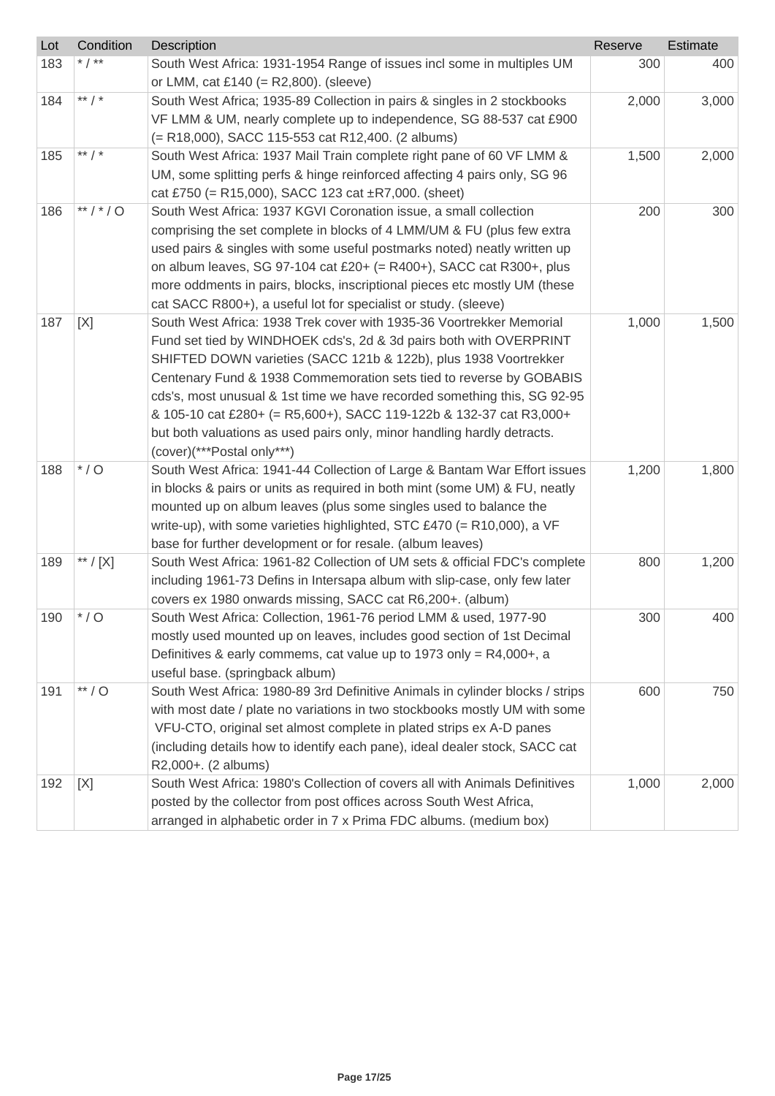| Lot | Condition | Description                                                                   | Reserve | Estimate |
|-----|-----------|-------------------------------------------------------------------------------|---------|----------|
| 183 | * $/$ **  | South West Africa: 1931-1954 Range of issues incl some in multiples UM        | 300     | 400      |
|     |           | or LMM, cat £140 (= $R2,800$ ). (sleeve)                                      |         |          |
| 184 | ** $/$ *  | South West Africa; 1935-89 Collection in pairs & singles in 2 stockbooks      | 2,000   | 3,000    |
|     |           | VF LMM & UM, nearly complete up to independence, SG 88-537 cat £900           |         |          |
|     |           | (= R18,000), SACC 115-553 cat R12,400. (2 albums)                             |         |          |
| 185 | ** $/$ *  | South West Africa: 1937 Mail Train complete right pane of 60 VF LMM &         | 1,500   | 2,000    |
|     |           | UM, some splitting perfs & hinge reinforced affecting 4 pairs only, SG 96     |         |          |
|     |           | cat £750 (= R15,000), SACC 123 cat $\pm$ R7,000. (sheet)                      |         |          |
| 186 | **/*/0    | South West Africa: 1937 KGVI Coronation issue, a small collection             | 200     | 300      |
|     |           | comprising the set complete in blocks of 4 LMM/UM & FU (plus few extra        |         |          |
|     |           | used pairs & singles with some useful postmarks noted) neatly written up      |         |          |
|     |           | on album leaves, SG 97-104 cat £20+ (= R400+), SACC cat R300+, plus           |         |          |
|     |           | more oddments in pairs, blocks, inscriptional pieces etc mostly UM (these     |         |          |
|     |           | cat SACC R800+), a useful lot for specialist or study. (sleeve)               |         |          |
| 187 | [X]       | South West Africa: 1938 Trek cover with 1935-36 Voortrekker Memorial          | 1,000   | 1,500    |
|     |           | Fund set tied by WINDHOEK cds's, 2d & 3d pairs both with OVERPRINT            |         |          |
|     |           | SHIFTED DOWN varieties (SACC 121b & 122b), plus 1938 Voortrekker              |         |          |
|     |           | Centenary Fund & 1938 Commemoration sets tied to reverse by GOBABIS           |         |          |
|     |           | cds's, most unusual & 1st time we have recorded something this, SG 92-95      |         |          |
|     |           | & 105-10 cat £280+ (= R5,600+), SACC 119-122b & 132-37 cat R3,000+            |         |          |
|     |           | but both valuations as used pairs only, minor handling hardly detracts.       |         |          |
|     |           | (cover)(***Postal only***)                                                    |         |          |
| 188 | $*$ / O   | South West Africa: 1941-44 Collection of Large & Bantam War Effort issues     | 1,200   | 1,800    |
|     |           | in blocks & pairs or units as required in both mint (some UM) & FU, neatly    |         |          |
|     |           | mounted up on album leaves (plus some singles used to balance the             |         |          |
|     |           | write-up), with some varieties highlighted, STC £470 (= R10,000), a VF        |         |          |
|     |           | base for further development or for resale. (album leaves)                    |         |          |
| 189 | ** / [X]  | South West Africa: 1961-82 Collection of UM sets & official FDC's complete    | 800     | 1,200    |
|     |           | including 1961-73 Defins in Intersapa album with slip-case, only few later    |         |          |
|     |           | covers ex 1980 onwards missing, SACC cat R6,200+. (album)                     |         |          |
| 190 | $*$ / O   | South West Africa: Collection, 1961-76 period LMM & used, 1977-90             | 300     | 400      |
|     |           | mostly used mounted up on leaves, includes good section of 1st Decimal        |         |          |
|     |           | Definitives & early commems, cat value up to 1973 only = $R4,000+$ , a        |         |          |
|     |           | useful base. (springback album)                                               |         |          |
| 191 | $**/O$    | South West Africa: 1980-89 3rd Definitive Animals in cylinder blocks / strips | 600     | 750      |
|     |           | with most date / plate no variations in two stockbooks mostly UM with some    |         |          |
|     |           | VFU-CTO, original set almost complete in plated strips ex A-D panes           |         |          |
|     |           | (including details how to identify each pane), ideal dealer stock, SACC cat   |         |          |
|     |           | R2,000+. (2 albums)                                                           |         |          |
| 192 | [X]       | South West Africa: 1980's Collection of covers all with Animals Definitives   | 1,000   | 2,000    |
|     |           | posted by the collector from post offices across South West Africa,           |         |          |
|     |           | arranged in alphabetic order in 7 x Prima FDC albums. (medium box)            |         |          |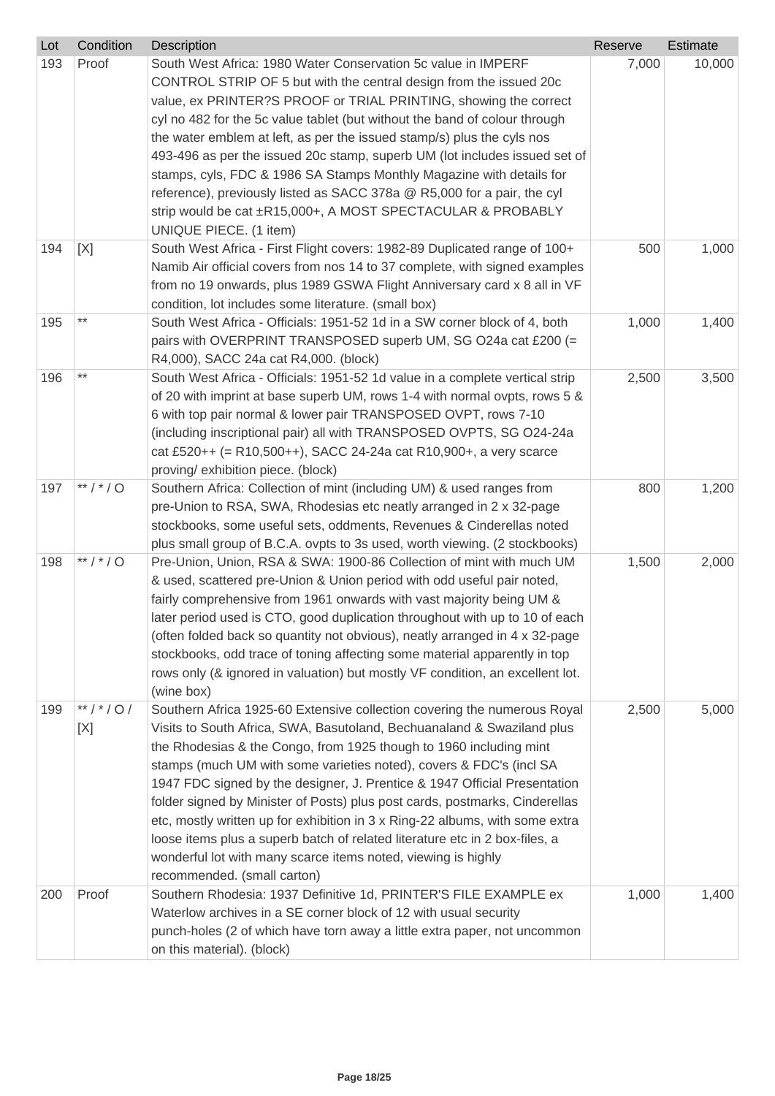| Lot | Condition    | Description                                                                                                                                        | Reserve | Estimate |
|-----|--------------|----------------------------------------------------------------------------------------------------------------------------------------------------|---------|----------|
| 193 | Proof        | South West Africa: 1980 Water Conservation 5c value in IMPERF<br>CONTROL STRIP OF 5 but with the central design from the issued 20c                | 7,000   | 10,000   |
|     |              | value, ex PRINTER?S PROOF or TRIAL PRINTING, showing the correct                                                                                   |         |          |
|     |              | cyl no 482 for the 5c value tablet (but without the band of colour through                                                                         |         |          |
|     |              | the water emblem at left, as per the issued stamp/s) plus the cyls nos                                                                             |         |          |
|     |              | 493-496 as per the issued 20c stamp, superb UM (lot includes issued set of                                                                         |         |          |
|     |              | stamps, cyls, FDC & 1986 SA Stamps Monthly Magazine with details for                                                                               |         |          |
|     |              | reference), previously listed as SACC 378a @ R5,000 for a pair, the cyl                                                                            |         |          |
|     |              | strip would be cat ±R15,000+, A MOST SPECTACULAR & PROBABLY<br>UNIQUE PIECE. (1 item)                                                              |         |          |
| 194 | [X]          | South West Africa - First Flight covers: 1982-89 Duplicated range of 100+                                                                          | 500     | 1,000    |
|     |              | Namib Air official covers from nos 14 to 37 complete, with signed examples                                                                         |         |          |
|     |              | from no 19 onwards, plus 1989 GSWA Flight Anniversary card x 8 all in VF                                                                           |         |          |
|     |              | condition, lot includes some literature. (small box)                                                                                               |         |          |
| 195 | $***$        | South West Africa - Officials: 1951-52 1d in a SW corner block of 4, both                                                                          | 1,000   | 1,400    |
|     |              | pairs with OVERPRINT TRANSPOSED superb UM, SG O24a cat £200 (=                                                                                     |         |          |
|     |              | R4,000), SACC 24a cat R4,000. (block)                                                                                                              |         |          |
| 196 | $***$        | South West Africa - Officials: 1951-52 1d value in a complete vertical strip                                                                       | 2,500   | 3,500    |
|     |              | of 20 with imprint at base superb UM, rows 1-4 with normal ovpts, rows 5 &                                                                         |         |          |
|     |              | 6 with top pair normal & lower pair TRANSPOSED OVPT, rows 7-10                                                                                     |         |          |
|     |              | (including inscriptional pair) all with TRANSPOSED OVPTS, SG O24-24a                                                                               |         |          |
|     |              | cat £520++ (= R10,500++), SACC 24-24a cat R10,900+, a very scarce                                                                                  |         |          |
|     |              | proving/ exhibition piece. (block)                                                                                                                 |         |          |
| 197 | ** / * / O   | Southern Africa: Collection of mint (including UM) & used ranges from                                                                              | 800     | 1,200    |
|     |              | pre-Union to RSA, SWA, Rhodesias etc neatly arranged in 2 x 32-page                                                                                |         |          |
|     |              | stockbooks, some useful sets, oddments, Revenues & Cinderellas noted                                                                               |         |          |
| 198 | **/*/0       | plus small group of B.C.A. ovpts to 3s used, worth viewing. (2 stockbooks)<br>Pre-Union, Union, RSA & SWA: 1900-86 Collection of mint with much UM | 1,500   | 2,000    |
|     |              | & used, scattered pre-Union & Union period with odd useful pair noted,                                                                             |         |          |
|     |              | fairly comprehensive from 1961 onwards with vast majority being UM &                                                                               |         |          |
|     |              | later period used is CTO, good duplication throughout with up to 10 of each                                                                        |         |          |
|     |              | (often folded back so quantity not obvious), neatly arranged in 4 x 32-page                                                                        |         |          |
|     |              | stockbooks, odd trace of toning affecting some material apparently in top                                                                          |         |          |
|     |              | rows only (& ignored in valuation) but mostly VF condition, an excellent lot.                                                                      |         |          |
|     |              | (wine box)                                                                                                                                         |         |          |
| 199 | ** / * / 0 / | Southern Africa 1925-60 Extensive collection covering the numerous Royal                                                                           | 2,500   | 5,000    |
|     | [X]          | Visits to South Africa, SWA, Basutoland, Bechuanaland & Swaziland plus                                                                             |         |          |
|     |              | the Rhodesias & the Congo, from 1925 though to 1960 including mint                                                                                 |         |          |
|     |              | stamps (much UM with some varieties noted), covers & FDC's (incl SA                                                                                |         |          |
|     |              | 1947 FDC signed by the designer, J. Prentice & 1947 Official Presentation                                                                          |         |          |
|     |              | folder signed by Minister of Posts) plus post cards, postmarks, Cinderellas                                                                        |         |          |
|     |              | etc, mostly written up for exhibition in 3 x Ring-22 albums, with some extra                                                                       |         |          |
|     |              | loose items plus a superb batch of related literature etc in 2 box-files, a                                                                        |         |          |
|     |              | wonderful lot with many scarce items noted, viewing is highly                                                                                      |         |          |
|     |              | recommended. (small carton)                                                                                                                        |         |          |
| 200 | Proof        | Southern Rhodesia: 1937 Definitive 1d, PRINTER'S FILE EXAMPLE ex                                                                                   | 1,000   | 1,400    |
|     |              | Waterlow archives in a SE corner block of 12 with usual security                                                                                   |         |          |
|     |              | punch-holes (2 of which have torn away a little extra paper, not uncommon                                                                          |         |          |
|     |              | on this material). (block)                                                                                                                         |         |          |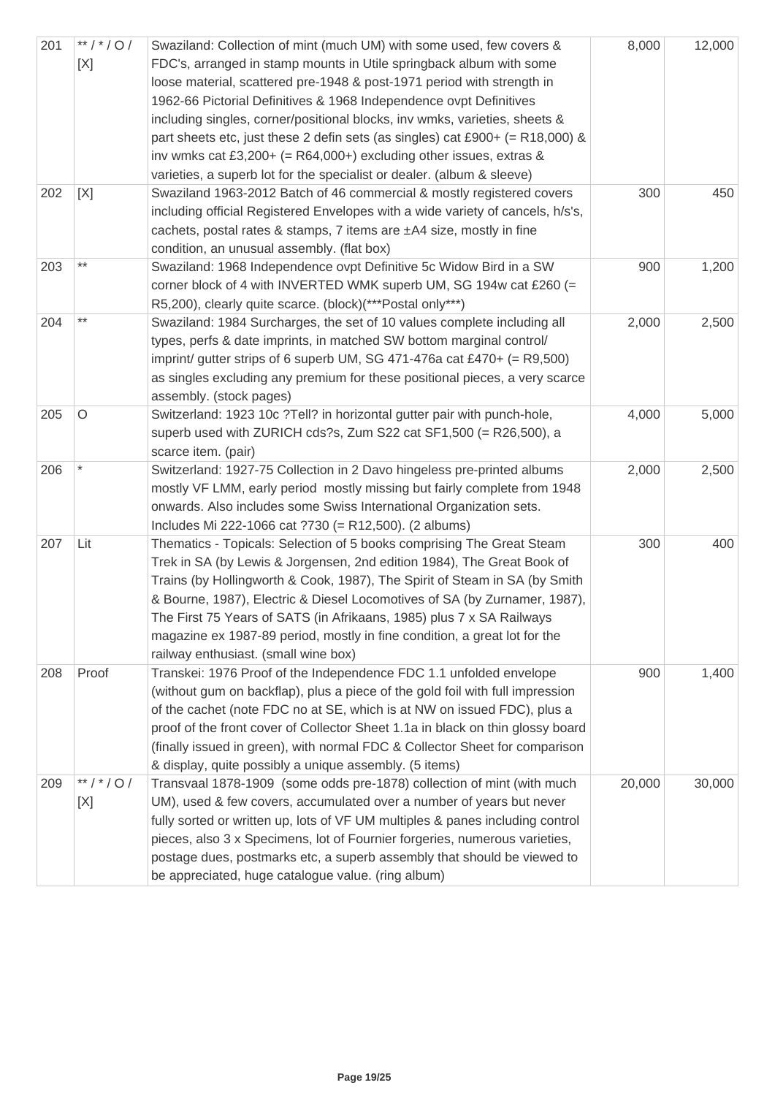| 201 | $**$ / $*$ / O /<br>[X] | Swaziland: Collection of mint (much UM) with some used, few covers &<br>FDC's, arranged in stamp mounts in Utile springback album with some<br>loose material, scattered pre-1948 & post-1971 period with strength in<br>1962-66 Pictorial Definitives & 1968 Independence ovpt Definitives<br>including singles, corner/positional blocks, inv wmks, varieties, sheets &<br>part sheets etc, just these 2 defin sets (as singles) cat £900+ (= R18,000) &<br>inv wmks cat £3,200+ (= $R64,000+$ ) excluding other issues, extras &<br>varieties, a superb lot for the specialist or dealer. (album & sleeve) | 8,000  | 12,000 |
|-----|-------------------------|---------------------------------------------------------------------------------------------------------------------------------------------------------------------------------------------------------------------------------------------------------------------------------------------------------------------------------------------------------------------------------------------------------------------------------------------------------------------------------------------------------------------------------------------------------------------------------------------------------------|--------|--------|
| 202 | [X]                     | Swaziland 1963-2012 Batch of 46 commercial & mostly registered covers<br>including official Registered Envelopes with a wide variety of cancels, h/s's,<br>cachets, postal rates & stamps, 7 items are ±A4 size, mostly in fine<br>condition, an unusual assembly. (flat box)                                                                                                                                                                                                                                                                                                                                 | 300    | 450    |
| 203 | $***$                   | Swaziland: 1968 Independence ovpt Definitive 5c Widow Bird in a SW<br>corner block of 4 with INVERTED WMK superb UM, SG 194w cat £260 (=<br>R5,200), clearly quite scarce. (block)(***Postal only***)                                                                                                                                                                                                                                                                                                                                                                                                         | 900    | 1,200  |
| 204 | $***$                   | Swaziland: 1984 Surcharges, the set of 10 values complete including all<br>types, perfs & date imprints, in matched SW bottom marginal control/<br>imprint/ gutter strips of 6 superb UM, SG 471-476a cat £470+ (= $R9,500$ )<br>as singles excluding any premium for these positional pieces, a very scarce<br>assembly. (stock pages)                                                                                                                                                                                                                                                                       | 2,000  | 2,500  |
| 205 | $\circ$                 | Switzerland: 1923 10c ?Tell? in horizontal gutter pair with punch-hole,<br>superb used with ZURICH cds?s, Zum S22 cat SF1,500 (= R26,500), a<br>scarce item. (pair)                                                                                                                                                                                                                                                                                                                                                                                                                                           | 4,000  | 5,000  |
| 206 |                         | Switzerland: 1927-75 Collection in 2 Davo hingeless pre-printed albums<br>mostly VF LMM, early period mostly missing but fairly complete from 1948<br>onwards. Also includes some Swiss International Organization sets.<br>Includes Mi 222-1066 cat ?730 (= R12,500). (2 albums)                                                                                                                                                                                                                                                                                                                             | 2,000  | 2,500  |
| 207 | Lit                     | Thematics - Topicals: Selection of 5 books comprising The Great Steam<br>Trek in SA (by Lewis & Jorgensen, 2nd edition 1984), The Great Book of<br>Trains (by Hollingworth & Cook, 1987), The Spirit of Steam in SA (by Smith<br>& Bourne, 1987), Electric & Diesel Locomotives of SA (by Zurnamer, 1987),<br>The First 75 Years of SATS (in Afrikaans, 1985) plus 7 x SA Railways<br>magazine ex 1987-89 period, mostly in fine condition, a great lot for the<br>railway enthusiast. (small wine box)                                                                                                       | 300    | 400    |
| 208 | Proof                   | Transkei: 1976 Proof of the Independence FDC 1.1 unfolded envelope<br>(without gum on backflap), plus a piece of the gold foil with full impression<br>of the cachet (note FDC no at SE, which is at NW on issued FDC), plus a<br>proof of the front cover of Collector Sheet 1.1a in black on thin glossy board<br>(finally issued in green), with normal FDC & Collector Sheet for comparison<br>& display, quite possibly a unique assembly. (5 items)                                                                                                                                                     | 900    | 1,400  |
| 209 | **/*/0/<br>[X]          | Transvaal 1878-1909 (some odds pre-1878) collection of mint (with much<br>UM), used & few covers, accumulated over a number of years but never<br>fully sorted or written up, lots of VF UM multiples & panes including control<br>pieces, also 3 x Specimens, lot of Fournier forgeries, numerous varieties,<br>postage dues, postmarks etc, a superb assembly that should be viewed to<br>be appreciated, huge catalogue value. (ring album)                                                                                                                                                                | 20,000 | 30,000 |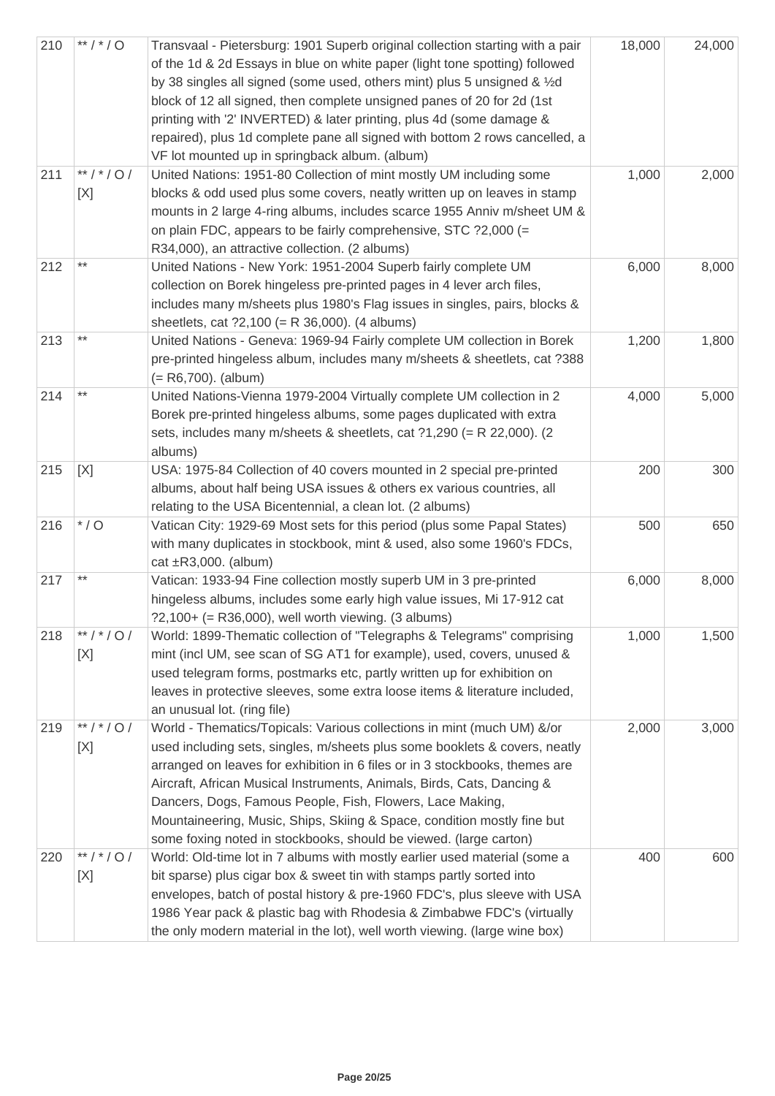| 210 | ** / * / O     | Transvaal - Pietersburg: 1901 Superb original collection starting with a pair<br>of the 1d & 2d Essays in blue on white paper (light tone spotting) followed<br>by 38 singles all signed (some used, others mint) plus 5 unsigned & 1/2d<br>block of 12 all signed, then complete unsigned panes of 20 for 2d (1st<br>printing with '2' INVERTED) & later printing, plus 4d (some damage &<br>repaired), plus 1d complete pane all signed with bottom 2 rows cancelled, a<br>VF lot mounted up in springback album. (album) | 18,000 | 24,000 |
|-----|----------------|-----------------------------------------------------------------------------------------------------------------------------------------------------------------------------------------------------------------------------------------------------------------------------------------------------------------------------------------------------------------------------------------------------------------------------------------------------------------------------------------------------------------------------|--------|--------|
| 211 | **/*/0/<br>[X] | United Nations: 1951-80 Collection of mint mostly UM including some<br>blocks & odd used plus some covers, neatly written up on leaves in stamp<br>mounts in 2 large 4-ring albums, includes scarce 1955 Anniv m/sheet UM &<br>on plain FDC, appears to be fairly comprehensive, STC ?2,000 (=<br>R34,000), an attractive collection. (2 albums)                                                                                                                                                                            | 1,000  | 2,000  |
| 212 | $***$          | United Nations - New York: 1951-2004 Superb fairly complete UM<br>collection on Borek hingeless pre-printed pages in 4 lever arch files,<br>includes many m/sheets plus 1980's Flag issues in singles, pairs, blocks &<br>sheetlets, cat $?2,100 (= R 36,000)$ . (4 albums)                                                                                                                                                                                                                                                 | 6,000  | 8,000  |
| 213 | $***$          | United Nations - Geneva: 1969-94 Fairly complete UM collection in Borek<br>pre-printed hingeless album, includes many m/sheets & sheetlets, cat ?388<br>$(= R6,700)$ . (album)                                                                                                                                                                                                                                                                                                                                              | 1,200  | 1,800  |
| 214 |                | United Nations-Vienna 1979-2004 Virtually complete UM collection in 2<br>Borek pre-printed hingeless albums, some pages duplicated with extra<br>sets, includes many m/sheets & sheetlets, cat ?1,290 (= R 22,000). (2<br>albums)                                                                                                                                                                                                                                                                                           | 4,000  | 5,000  |
| 215 | [X]            | USA: 1975-84 Collection of 40 covers mounted in 2 special pre-printed<br>albums, about half being USA issues & others ex various countries, all<br>relating to the USA Bicentennial, a clean lot. (2 albums)                                                                                                                                                                                                                                                                                                                | 200    | 300    |
| 216 | $^{\star}$ / O | Vatican City: 1929-69 Most sets for this period (plus some Papal States)<br>with many duplicates in stockbook, mint & used, also some 1960's FDCs,<br>cat $\pm$ R3,000. (album)                                                                                                                                                                                                                                                                                                                                             | 500    | 650    |
| 217 | $***$          | Vatican: 1933-94 Fine collection mostly superb UM in 3 pre-printed<br>hingeless albums, includes some early high value issues, Mi 17-912 cat<br>$?2,100+ (= R36,000)$ , well worth viewing. (3 albums)                                                                                                                                                                                                                                                                                                                      | 6,000  | 8,000  |
| 218 | **/*/0/<br>[X] | World: 1899-Thematic collection of "Telegraphs & Telegrams" comprising<br>mint (incl UM, see scan of SG AT1 for example), used, covers, unused &<br>used telegram forms, postmarks etc, partly written up for exhibition on<br>leaves in protective sleeves, some extra loose items & literature included,<br>an unusual lot. (ring file)                                                                                                                                                                                   | 1,000  | 1,500  |
| 219 | **/*/0/<br>[X] | World - Thematics/Topicals: Various collections in mint (much UM) &/or<br>used including sets, singles, m/sheets plus some booklets & covers, neatly<br>arranged on leaves for exhibition in 6 files or in 3 stockbooks, themes are<br>Aircraft, African Musical Instruments, Animals, Birds, Cats, Dancing &<br>Dancers, Dogs, Famous People, Fish, Flowers, Lace Making,<br>Mountaineering, Music, Ships, Skiing & Space, condition mostly fine but<br>some foxing noted in stockbooks, should be viewed. (large carton)  | 2,000  | 3,000  |
| 220 | **/*/0/<br>[X] | World: Old-time lot in 7 albums with mostly earlier used material (some a<br>bit sparse) plus cigar box & sweet tin with stamps partly sorted into<br>envelopes, batch of postal history & pre-1960 FDC's, plus sleeve with USA<br>1986 Year pack & plastic bag with Rhodesia & Zimbabwe FDC's (virtually<br>the only modern material in the lot), well worth viewing. (large wine box)                                                                                                                                     | 400    | 600    |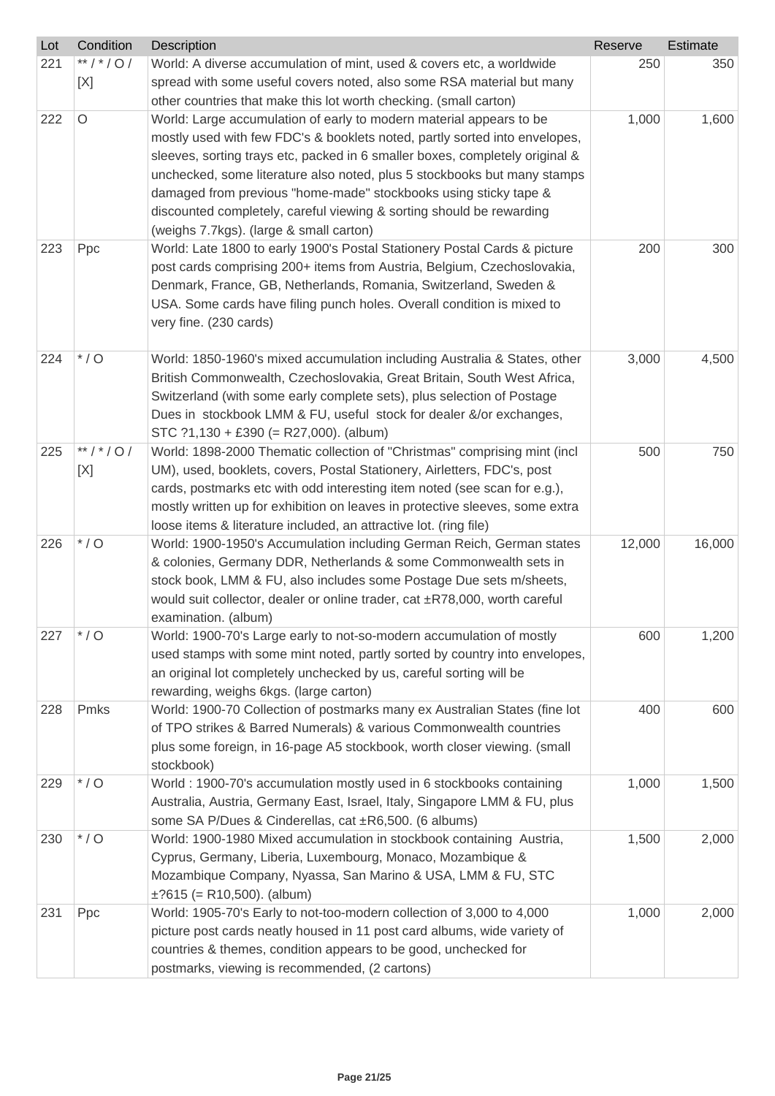| $*$ / * / 0 /<br>221<br>World: A diverse accumulation of mint, used & covers etc, a worldwide<br>250<br>350<br>spread with some useful covers noted, also some RSA material but many<br>[X]<br>other countries that make this lot worth checking. (small carton)<br>$\circ$<br>1,000<br>222<br>World: Large accumulation of early to modern material appears to be<br>1,600<br>mostly used with few FDC's & booklets noted, partly sorted into envelopes,<br>sleeves, sorting trays etc, packed in 6 smaller boxes, completely original &<br>unchecked, some literature also noted, plus 5 stockbooks but many stamps<br>damaged from previous "home-made" stockbooks using sticky tape &<br>discounted completely, careful viewing & sorting should be rewarding<br>(weighs 7.7kgs). (large & small carton)<br>223<br>Ppc<br>World: Late 1800 to early 1900's Postal Stationery Postal Cards & picture<br>200<br>300<br>post cards comprising 200+ items from Austria, Belgium, Czechoslovakia,<br>Denmark, France, GB, Netherlands, Romania, Switzerland, Sweden &<br>USA. Some cards have filing punch holes. Overall condition is mixed to<br>very fine. (230 cards)<br>$*$ / O<br>224<br>3,000<br>World: 1850-1960's mixed accumulation including Australia & States, other<br>4,500<br>British Commonwealth, Czechoslovakia, Great Britain, South West Africa,<br>Switzerland (with some early complete sets), plus selection of Postage<br>Dues in stockbook LMM & FU, useful stock for dealer &/or exchanges,<br>STC $?1,130 + £390 (= R27,000)$ . (album)<br>**/*/0/<br>225<br>World: 1898-2000 Thematic collection of "Christmas" comprising mint (incl<br>500<br>750<br>UM), used, booklets, covers, Postal Stationery, Airletters, FDC's, post<br>[X]<br>cards, postmarks etc with odd interesting item noted (see scan for e.g.),<br>mostly written up for exhibition on leaves in protective sleeves, some extra<br>loose items & literature included, an attractive lot. (ring file)<br>$^{\star}$ / O<br>226<br>World: 1900-1950's Accumulation including German Reich, German states<br>12,000<br>16,000<br>& colonies, Germany DDR, Netherlands & some Commonwealth sets in<br>stock book, LMM & FU, also includes some Postage Due sets m/sheets,<br>would suit collector, dealer or online trader, cat ±R78,000, worth careful<br>examination. (album)<br>$^{\star}$ / O<br>1,200<br>227<br>World: 1900-70's Large early to not-so-modern accumulation of mostly<br>600<br>used stamps with some mint noted, partly sorted by country into envelopes,<br>an original lot completely unchecked by us, careful sorting will be<br>rewarding, weighs 6kgs. (large carton)<br>Pmks<br>World: 1900-70 Collection of postmarks many ex Australian States (fine lot<br>228<br>400<br>600<br>of TPO strikes & Barred Numerals) & various Commonwealth countries<br>plus some foreign, in 16-page A5 stockbook, worth closer viewing. (small<br>stockbook)<br>$*$ / O<br>World: 1900-70's accumulation mostly used in 6 stockbooks containing<br>229<br>1,000<br>1,500 | Lot | Condition | Description | Reserve | Estimate |
|-----------------------------------------------------------------------------------------------------------------------------------------------------------------------------------------------------------------------------------------------------------------------------------------------------------------------------------------------------------------------------------------------------------------------------------------------------------------------------------------------------------------------------------------------------------------------------------------------------------------------------------------------------------------------------------------------------------------------------------------------------------------------------------------------------------------------------------------------------------------------------------------------------------------------------------------------------------------------------------------------------------------------------------------------------------------------------------------------------------------------------------------------------------------------------------------------------------------------------------------------------------------------------------------------------------------------------------------------------------------------------------------------------------------------------------------------------------------------------------------------------------------------------------------------------------------------------------------------------------------------------------------------------------------------------------------------------------------------------------------------------------------------------------------------------------------------------------------------------------------------------------------------------------------------------------------------------------------------------------------------------------------------------------------------------------------------------------------------------------------------------------------------------------------------------------------------------------------------------------------------------------------------------------------------------------------------------------------------------------------------------------------------------------------------------------------------------------------------------------------------------------------------------------------------------------------------------------------------------------------------------------------------------------------------------------------------------------------------------------------------------------------------------------------------------------------------------------------------------------------------------------------------------------------------------------------------------------------------------------------------------------------------------------------------------------------------------------|-----|-----------|-------------|---------|----------|
|                                                                                                                                                                                                                                                                                                                                                                                                                                                                                                                                                                                                                                                                                                                                                                                                                                                                                                                                                                                                                                                                                                                                                                                                                                                                                                                                                                                                                                                                                                                                                                                                                                                                                                                                                                                                                                                                                                                                                                                                                                                                                                                                                                                                                                                                                                                                                                                                                                                                                                                                                                                                                                                                                                                                                                                                                                                                                                                                                                                                                                                                                   |     |           |             |         |          |
|                                                                                                                                                                                                                                                                                                                                                                                                                                                                                                                                                                                                                                                                                                                                                                                                                                                                                                                                                                                                                                                                                                                                                                                                                                                                                                                                                                                                                                                                                                                                                                                                                                                                                                                                                                                                                                                                                                                                                                                                                                                                                                                                                                                                                                                                                                                                                                                                                                                                                                                                                                                                                                                                                                                                                                                                                                                                                                                                                                                                                                                                                   |     |           |             |         |          |
|                                                                                                                                                                                                                                                                                                                                                                                                                                                                                                                                                                                                                                                                                                                                                                                                                                                                                                                                                                                                                                                                                                                                                                                                                                                                                                                                                                                                                                                                                                                                                                                                                                                                                                                                                                                                                                                                                                                                                                                                                                                                                                                                                                                                                                                                                                                                                                                                                                                                                                                                                                                                                                                                                                                                                                                                                                                                                                                                                                                                                                                                                   |     |           |             |         |          |
|                                                                                                                                                                                                                                                                                                                                                                                                                                                                                                                                                                                                                                                                                                                                                                                                                                                                                                                                                                                                                                                                                                                                                                                                                                                                                                                                                                                                                                                                                                                                                                                                                                                                                                                                                                                                                                                                                                                                                                                                                                                                                                                                                                                                                                                                                                                                                                                                                                                                                                                                                                                                                                                                                                                                                                                                                                                                                                                                                                                                                                                                                   |     |           |             |         |          |
|                                                                                                                                                                                                                                                                                                                                                                                                                                                                                                                                                                                                                                                                                                                                                                                                                                                                                                                                                                                                                                                                                                                                                                                                                                                                                                                                                                                                                                                                                                                                                                                                                                                                                                                                                                                                                                                                                                                                                                                                                                                                                                                                                                                                                                                                                                                                                                                                                                                                                                                                                                                                                                                                                                                                                                                                                                                                                                                                                                                                                                                                                   |     |           |             |         |          |
|                                                                                                                                                                                                                                                                                                                                                                                                                                                                                                                                                                                                                                                                                                                                                                                                                                                                                                                                                                                                                                                                                                                                                                                                                                                                                                                                                                                                                                                                                                                                                                                                                                                                                                                                                                                                                                                                                                                                                                                                                                                                                                                                                                                                                                                                                                                                                                                                                                                                                                                                                                                                                                                                                                                                                                                                                                                                                                                                                                                                                                                                                   |     |           |             |         |          |
|                                                                                                                                                                                                                                                                                                                                                                                                                                                                                                                                                                                                                                                                                                                                                                                                                                                                                                                                                                                                                                                                                                                                                                                                                                                                                                                                                                                                                                                                                                                                                                                                                                                                                                                                                                                                                                                                                                                                                                                                                                                                                                                                                                                                                                                                                                                                                                                                                                                                                                                                                                                                                                                                                                                                                                                                                                                                                                                                                                                                                                                                                   |     |           |             |         |          |
|                                                                                                                                                                                                                                                                                                                                                                                                                                                                                                                                                                                                                                                                                                                                                                                                                                                                                                                                                                                                                                                                                                                                                                                                                                                                                                                                                                                                                                                                                                                                                                                                                                                                                                                                                                                                                                                                                                                                                                                                                                                                                                                                                                                                                                                                                                                                                                                                                                                                                                                                                                                                                                                                                                                                                                                                                                                                                                                                                                                                                                                                                   |     |           |             |         |          |
|                                                                                                                                                                                                                                                                                                                                                                                                                                                                                                                                                                                                                                                                                                                                                                                                                                                                                                                                                                                                                                                                                                                                                                                                                                                                                                                                                                                                                                                                                                                                                                                                                                                                                                                                                                                                                                                                                                                                                                                                                                                                                                                                                                                                                                                                                                                                                                                                                                                                                                                                                                                                                                                                                                                                                                                                                                                                                                                                                                                                                                                                                   |     |           |             |         |          |
|                                                                                                                                                                                                                                                                                                                                                                                                                                                                                                                                                                                                                                                                                                                                                                                                                                                                                                                                                                                                                                                                                                                                                                                                                                                                                                                                                                                                                                                                                                                                                                                                                                                                                                                                                                                                                                                                                                                                                                                                                                                                                                                                                                                                                                                                                                                                                                                                                                                                                                                                                                                                                                                                                                                                                                                                                                                                                                                                                                                                                                                                                   |     |           |             |         |          |
|                                                                                                                                                                                                                                                                                                                                                                                                                                                                                                                                                                                                                                                                                                                                                                                                                                                                                                                                                                                                                                                                                                                                                                                                                                                                                                                                                                                                                                                                                                                                                                                                                                                                                                                                                                                                                                                                                                                                                                                                                                                                                                                                                                                                                                                                                                                                                                                                                                                                                                                                                                                                                                                                                                                                                                                                                                                                                                                                                                                                                                                                                   |     |           |             |         |          |
|                                                                                                                                                                                                                                                                                                                                                                                                                                                                                                                                                                                                                                                                                                                                                                                                                                                                                                                                                                                                                                                                                                                                                                                                                                                                                                                                                                                                                                                                                                                                                                                                                                                                                                                                                                                                                                                                                                                                                                                                                                                                                                                                                                                                                                                                                                                                                                                                                                                                                                                                                                                                                                                                                                                                                                                                                                                                                                                                                                                                                                                                                   |     |           |             |         |          |
|                                                                                                                                                                                                                                                                                                                                                                                                                                                                                                                                                                                                                                                                                                                                                                                                                                                                                                                                                                                                                                                                                                                                                                                                                                                                                                                                                                                                                                                                                                                                                                                                                                                                                                                                                                                                                                                                                                                                                                                                                                                                                                                                                                                                                                                                                                                                                                                                                                                                                                                                                                                                                                                                                                                                                                                                                                                                                                                                                                                                                                                                                   |     |           |             |         |          |
|                                                                                                                                                                                                                                                                                                                                                                                                                                                                                                                                                                                                                                                                                                                                                                                                                                                                                                                                                                                                                                                                                                                                                                                                                                                                                                                                                                                                                                                                                                                                                                                                                                                                                                                                                                                                                                                                                                                                                                                                                                                                                                                                                                                                                                                                                                                                                                                                                                                                                                                                                                                                                                                                                                                                                                                                                                                                                                                                                                                                                                                                                   |     |           |             |         |          |
|                                                                                                                                                                                                                                                                                                                                                                                                                                                                                                                                                                                                                                                                                                                                                                                                                                                                                                                                                                                                                                                                                                                                                                                                                                                                                                                                                                                                                                                                                                                                                                                                                                                                                                                                                                                                                                                                                                                                                                                                                                                                                                                                                                                                                                                                                                                                                                                                                                                                                                                                                                                                                                                                                                                                                                                                                                                                                                                                                                                                                                                                                   |     |           |             |         |          |
|                                                                                                                                                                                                                                                                                                                                                                                                                                                                                                                                                                                                                                                                                                                                                                                                                                                                                                                                                                                                                                                                                                                                                                                                                                                                                                                                                                                                                                                                                                                                                                                                                                                                                                                                                                                                                                                                                                                                                                                                                                                                                                                                                                                                                                                                                                                                                                                                                                                                                                                                                                                                                                                                                                                                                                                                                                                                                                                                                                                                                                                                                   |     |           |             |         |          |
|                                                                                                                                                                                                                                                                                                                                                                                                                                                                                                                                                                                                                                                                                                                                                                                                                                                                                                                                                                                                                                                                                                                                                                                                                                                                                                                                                                                                                                                                                                                                                                                                                                                                                                                                                                                                                                                                                                                                                                                                                                                                                                                                                                                                                                                                                                                                                                                                                                                                                                                                                                                                                                                                                                                                                                                                                                                                                                                                                                                                                                                                                   |     |           |             |         |          |
|                                                                                                                                                                                                                                                                                                                                                                                                                                                                                                                                                                                                                                                                                                                                                                                                                                                                                                                                                                                                                                                                                                                                                                                                                                                                                                                                                                                                                                                                                                                                                                                                                                                                                                                                                                                                                                                                                                                                                                                                                                                                                                                                                                                                                                                                                                                                                                                                                                                                                                                                                                                                                                                                                                                                                                                                                                                                                                                                                                                                                                                                                   |     |           |             |         |          |
|                                                                                                                                                                                                                                                                                                                                                                                                                                                                                                                                                                                                                                                                                                                                                                                                                                                                                                                                                                                                                                                                                                                                                                                                                                                                                                                                                                                                                                                                                                                                                                                                                                                                                                                                                                                                                                                                                                                                                                                                                                                                                                                                                                                                                                                                                                                                                                                                                                                                                                                                                                                                                                                                                                                                                                                                                                                                                                                                                                                                                                                                                   |     |           |             |         |          |
|                                                                                                                                                                                                                                                                                                                                                                                                                                                                                                                                                                                                                                                                                                                                                                                                                                                                                                                                                                                                                                                                                                                                                                                                                                                                                                                                                                                                                                                                                                                                                                                                                                                                                                                                                                                                                                                                                                                                                                                                                                                                                                                                                                                                                                                                                                                                                                                                                                                                                                                                                                                                                                                                                                                                                                                                                                                                                                                                                                                                                                                                                   |     |           |             |         |          |
|                                                                                                                                                                                                                                                                                                                                                                                                                                                                                                                                                                                                                                                                                                                                                                                                                                                                                                                                                                                                                                                                                                                                                                                                                                                                                                                                                                                                                                                                                                                                                                                                                                                                                                                                                                                                                                                                                                                                                                                                                                                                                                                                                                                                                                                                                                                                                                                                                                                                                                                                                                                                                                                                                                                                                                                                                                                                                                                                                                                                                                                                                   |     |           |             |         |          |
|                                                                                                                                                                                                                                                                                                                                                                                                                                                                                                                                                                                                                                                                                                                                                                                                                                                                                                                                                                                                                                                                                                                                                                                                                                                                                                                                                                                                                                                                                                                                                                                                                                                                                                                                                                                                                                                                                                                                                                                                                                                                                                                                                                                                                                                                                                                                                                                                                                                                                                                                                                                                                                                                                                                                                                                                                                                                                                                                                                                                                                                                                   |     |           |             |         |          |
|                                                                                                                                                                                                                                                                                                                                                                                                                                                                                                                                                                                                                                                                                                                                                                                                                                                                                                                                                                                                                                                                                                                                                                                                                                                                                                                                                                                                                                                                                                                                                                                                                                                                                                                                                                                                                                                                                                                                                                                                                                                                                                                                                                                                                                                                                                                                                                                                                                                                                                                                                                                                                                                                                                                                                                                                                                                                                                                                                                                                                                                                                   |     |           |             |         |          |
|                                                                                                                                                                                                                                                                                                                                                                                                                                                                                                                                                                                                                                                                                                                                                                                                                                                                                                                                                                                                                                                                                                                                                                                                                                                                                                                                                                                                                                                                                                                                                                                                                                                                                                                                                                                                                                                                                                                                                                                                                                                                                                                                                                                                                                                                                                                                                                                                                                                                                                                                                                                                                                                                                                                                                                                                                                                                                                                                                                                                                                                                                   |     |           |             |         |          |
|                                                                                                                                                                                                                                                                                                                                                                                                                                                                                                                                                                                                                                                                                                                                                                                                                                                                                                                                                                                                                                                                                                                                                                                                                                                                                                                                                                                                                                                                                                                                                                                                                                                                                                                                                                                                                                                                                                                                                                                                                                                                                                                                                                                                                                                                                                                                                                                                                                                                                                                                                                                                                                                                                                                                                                                                                                                                                                                                                                                                                                                                                   |     |           |             |         |          |
|                                                                                                                                                                                                                                                                                                                                                                                                                                                                                                                                                                                                                                                                                                                                                                                                                                                                                                                                                                                                                                                                                                                                                                                                                                                                                                                                                                                                                                                                                                                                                                                                                                                                                                                                                                                                                                                                                                                                                                                                                                                                                                                                                                                                                                                                                                                                                                                                                                                                                                                                                                                                                                                                                                                                                                                                                                                                                                                                                                                                                                                                                   |     |           |             |         |          |
|                                                                                                                                                                                                                                                                                                                                                                                                                                                                                                                                                                                                                                                                                                                                                                                                                                                                                                                                                                                                                                                                                                                                                                                                                                                                                                                                                                                                                                                                                                                                                                                                                                                                                                                                                                                                                                                                                                                                                                                                                                                                                                                                                                                                                                                                                                                                                                                                                                                                                                                                                                                                                                                                                                                                                                                                                                                                                                                                                                                                                                                                                   |     |           |             |         |          |
|                                                                                                                                                                                                                                                                                                                                                                                                                                                                                                                                                                                                                                                                                                                                                                                                                                                                                                                                                                                                                                                                                                                                                                                                                                                                                                                                                                                                                                                                                                                                                                                                                                                                                                                                                                                                                                                                                                                                                                                                                                                                                                                                                                                                                                                                                                                                                                                                                                                                                                                                                                                                                                                                                                                                                                                                                                                                                                                                                                                                                                                                                   |     |           |             |         |          |
|                                                                                                                                                                                                                                                                                                                                                                                                                                                                                                                                                                                                                                                                                                                                                                                                                                                                                                                                                                                                                                                                                                                                                                                                                                                                                                                                                                                                                                                                                                                                                                                                                                                                                                                                                                                                                                                                                                                                                                                                                                                                                                                                                                                                                                                                                                                                                                                                                                                                                                                                                                                                                                                                                                                                                                                                                                                                                                                                                                                                                                                                                   |     |           |             |         |          |
|                                                                                                                                                                                                                                                                                                                                                                                                                                                                                                                                                                                                                                                                                                                                                                                                                                                                                                                                                                                                                                                                                                                                                                                                                                                                                                                                                                                                                                                                                                                                                                                                                                                                                                                                                                                                                                                                                                                                                                                                                                                                                                                                                                                                                                                                                                                                                                                                                                                                                                                                                                                                                                                                                                                                                                                                                                                                                                                                                                                                                                                                                   |     |           |             |         |          |
|                                                                                                                                                                                                                                                                                                                                                                                                                                                                                                                                                                                                                                                                                                                                                                                                                                                                                                                                                                                                                                                                                                                                                                                                                                                                                                                                                                                                                                                                                                                                                                                                                                                                                                                                                                                                                                                                                                                                                                                                                                                                                                                                                                                                                                                                                                                                                                                                                                                                                                                                                                                                                                                                                                                                                                                                                                                                                                                                                                                                                                                                                   |     |           |             |         |          |
|                                                                                                                                                                                                                                                                                                                                                                                                                                                                                                                                                                                                                                                                                                                                                                                                                                                                                                                                                                                                                                                                                                                                                                                                                                                                                                                                                                                                                                                                                                                                                                                                                                                                                                                                                                                                                                                                                                                                                                                                                                                                                                                                                                                                                                                                                                                                                                                                                                                                                                                                                                                                                                                                                                                                                                                                                                                                                                                                                                                                                                                                                   |     |           |             |         |          |
|                                                                                                                                                                                                                                                                                                                                                                                                                                                                                                                                                                                                                                                                                                                                                                                                                                                                                                                                                                                                                                                                                                                                                                                                                                                                                                                                                                                                                                                                                                                                                                                                                                                                                                                                                                                                                                                                                                                                                                                                                                                                                                                                                                                                                                                                                                                                                                                                                                                                                                                                                                                                                                                                                                                                                                                                                                                                                                                                                                                                                                                                                   |     |           |             |         |          |
|                                                                                                                                                                                                                                                                                                                                                                                                                                                                                                                                                                                                                                                                                                                                                                                                                                                                                                                                                                                                                                                                                                                                                                                                                                                                                                                                                                                                                                                                                                                                                                                                                                                                                                                                                                                                                                                                                                                                                                                                                                                                                                                                                                                                                                                                                                                                                                                                                                                                                                                                                                                                                                                                                                                                                                                                                                                                                                                                                                                                                                                                                   |     |           |             |         |          |
|                                                                                                                                                                                                                                                                                                                                                                                                                                                                                                                                                                                                                                                                                                                                                                                                                                                                                                                                                                                                                                                                                                                                                                                                                                                                                                                                                                                                                                                                                                                                                                                                                                                                                                                                                                                                                                                                                                                                                                                                                                                                                                                                                                                                                                                                                                                                                                                                                                                                                                                                                                                                                                                                                                                                                                                                                                                                                                                                                                                                                                                                                   |     |           |             |         |          |
|                                                                                                                                                                                                                                                                                                                                                                                                                                                                                                                                                                                                                                                                                                                                                                                                                                                                                                                                                                                                                                                                                                                                                                                                                                                                                                                                                                                                                                                                                                                                                                                                                                                                                                                                                                                                                                                                                                                                                                                                                                                                                                                                                                                                                                                                                                                                                                                                                                                                                                                                                                                                                                                                                                                                                                                                                                                                                                                                                                                                                                                                                   |     |           |             |         |          |
|                                                                                                                                                                                                                                                                                                                                                                                                                                                                                                                                                                                                                                                                                                                                                                                                                                                                                                                                                                                                                                                                                                                                                                                                                                                                                                                                                                                                                                                                                                                                                                                                                                                                                                                                                                                                                                                                                                                                                                                                                                                                                                                                                                                                                                                                                                                                                                                                                                                                                                                                                                                                                                                                                                                                                                                                                                                                                                                                                                                                                                                                                   |     |           |             |         |          |
|                                                                                                                                                                                                                                                                                                                                                                                                                                                                                                                                                                                                                                                                                                                                                                                                                                                                                                                                                                                                                                                                                                                                                                                                                                                                                                                                                                                                                                                                                                                                                                                                                                                                                                                                                                                                                                                                                                                                                                                                                                                                                                                                                                                                                                                                                                                                                                                                                                                                                                                                                                                                                                                                                                                                                                                                                                                                                                                                                                                                                                                                                   |     |           |             |         |          |
|                                                                                                                                                                                                                                                                                                                                                                                                                                                                                                                                                                                                                                                                                                                                                                                                                                                                                                                                                                                                                                                                                                                                                                                                                                                                                                                                                                                                                                                                                                                                                                                                                                                                                                                                                                                                                                                                                                                                                                                                                                                                                                                                                                                                                                                                                                                                                                                                                                                                                                                                                                                                                                                                                                                                                                                                                                                                                                                                                                                                                                                                                   |     |           |             |         |          |
| Australia, Austria, Germany East, Israel, Italy, Singapore LMM & FU, plus                                                                                                                                                                                                                                                                                                                                                                                                                                                                                                                                                                                                                                                                                                                                                                                                                                                                                                                                                                                                                                                                                                                                                                                                                                                                                                                                                                                                                                                                                                                                                                                                                                                                                                                                                                                                                                                                                                                                                                                                                                                                                                                                                                                                                                                                                                                                                                                                                                                                                                                                                                                                                                                                                                                                                                                                                                                                                                                                                                                                         |     |           |             |         |          |
| some SA P/Dues & Cinderellas, cat ±R6,500. (6 albums)<br>$^{\star}$ / O<br>1,500<br>2,000<br>230<br>World: 1900-1980 Mixed accumulation in stockbook containing Austria,                                                                                                                                                                                                                                                                                                                                                                                                                                                                                                                                                                                                                                                                                                                                                                                                                                                                                                                                                                                                                                                                                                                                                                                                                                                                                                                                                                                                                                                                                                                                                                                                                                                                                                                                                                                                                                                                                                                                                                                                                                                                                                                                                                                                                                                                                                                                                                                                                                                                                                                                                                                                                                                                                                                                                                                                                                                                                                          |     |           |             |         |          |
| Cyprus, Germany, Liberia, Luxembourg, Monaco, Mozambique &                                                                                                                                                                                                                                                                                                                                                                                                                                                                                                                                                                                                                                                                                                                                                                                                                                                                                                                                                                                                                                                                                                                                                                                                                                                                                                                                                                                                                                                                                                                                                                                                                                                                                                                                                                                                                                                                                                                                                                                                                                                                                                                                                                                                                                                                                                                                                                                                                                                                                                                                                                                                                                                                                                                                                                                                                                                                                                                                                                                                                        |     |           |             |         |          |
| Mozambique Company, Nyassa, San Marino & USA, LMM & FU, STC                                                                                                                                                                                                                                                                                                                                                                                                                                                                                                                                                                                                                                                                                                                                                                                                                                                                                                                                                                                                                                                                                                                                                                                                                                                                                                                                                                                                                                                                                                                                                                                                                                                                                                                                                                                                                                                                                                                                                                                                                                                                                                                                                                                                                                                                                                                                                                                                                                                                                                                                                                                                                                                                                                                                                                                                                                                                                                                                                                                                                       |     |           |             |         |          |
| $\pm$ ?615 (= R10,500). (album)                                                                                                                                                                                                                                                                                                                                                                                                                                                                                                                                                                                                                                                                                                                                                                                                                                                                                                                                                                                                                                                                                                                                                                                                                                                                                                                                                                                                                                                                                                                                                                                                                                                                                                                                                                                                                                                                                                                                                                                                                                                                                                                                                                                                                                                                                                                                                                                                                                                                                                                                                                                                                                                                                                                                                                                                                                                                                                                                                                                                                                                   |     |           |             |         |          |
| World: 1905-70's Early to not-too-modern collection of 3,000 to 4,000<br>1,000<br>2,000<br>231<br>Ppc                                                                                                                                                                                                                                                                                                                                                                                                                                                                                                                                                                                                                                                                                                                                                                                                                                                                                                                                                                                                                                                                                                                                                                                                                                                                                                                                                                                                                                                                                                                                                                                                                                                                                                                                                                                                                                                                                                                                                                                                                                                                                                                                                                                                                                                                                                                                                                                                                                                                                                                                                                                                                                                                                                                                                                                                                                                                                                                                                                             |     |           |             |         |          |
| picture post cards neatly housed in 11 post card albums, wide variety of                                                                                                                                                                                                                                                                                                                                                                                                                                                                                                                                                                                                                                                                                                                                                                                                                                                                                                                                                                                                                                                                                                                                                                                                                                                                                                                                                                                                                                                                                                                                                                                                                                                                                                                                                                                                                                                                                                                                                                                                                                                                                                                                                                                                                                                                                                                                                                                                                                                                                                                                                                                                                                                                                                                                                                                                                                                                                                                                                                                                          |     |           |             |         |          |
| countries & themes, condition appears to be good, unchecked for                                                                                                                                                                                                                                                                                                                                                                                                                                                                                                                                                                                                                                                                                                                                                                                                                                                                                                                                                                                                                                                                                                                                                                                                                                                                                                                                                                                                                                                                                                                                                                                                                                                                                                                                                                                                                                                                                                                                                                                                                                                                                                                                                                                                                                                                                                                                                                                                                                                                                                                                                                                                                                                                                                                                                                                                                                                                                                                                                                                                                   |     |           |             |         |          |
| postmarks, viewing is recommended, (2 cartons)                                                                                                                                                                                                                                                                                                                                                                                                                                                                                                                                                                                                                                                                                                                                                                                                                                                                                                                                                                                                                                                                                                                                                                                                                                                                                                                                                                                                                                                                                                                                                                                                                                                                                                                                                                                                                                                                                                                                                                                                                                                                                                                                                                                                                                                                                                                                                                                                                                                                                                                                                                                                                                                                                                                                                                                                                                                                                                                                                                                                                                    |     |           |             |         |          |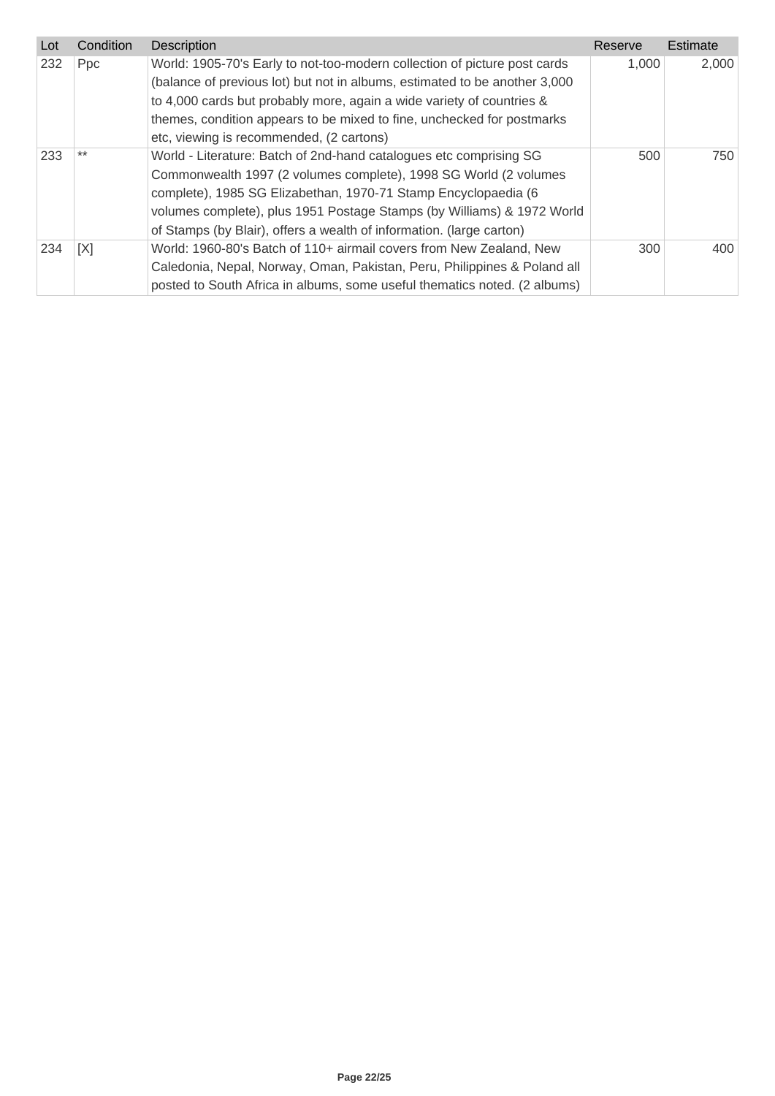| Lot | Condition  | <b>Description</b>                                                         | Reserve | Estimate |
|-----|------------|----------------------------------------------------------------------------|---------|----------|
| 232 | <b>Ppc</b> | World: 1905-70's Early to not-too-modern collection of picture post cards  | 1,000   | 2,000    |
|     |            | (balance of previous lot) but not in albums, estimated to be another 3,000 |         |          |
|     |            | to 4,000 cards but probably more, again a wide variety of countries &      |         |          |
|     |            | themes, condition appears to be mixed to fine, unchecked for postmarks     |         |          |
|     |            | etc, viewing is recommended, (2 cartons)                                   |         |          |
| 233 | $***$      | World - Literature: Batch of 2nd-hand catalogues etc comprising SG         | 500     | 750      |
|     |            | Commonwealth 1997 (2 volumes complete), 1998 SG World (2 volumes           |         |          |
|     |            | complete), 1985 SG Elizabethan, 1970-71 Stamp Encyclopaedia (6             |         |          |
|     |            | volumes complete), plus 1951 Postage Stamps (by Williams) & 1972 World     |         |          |
|     |            | of Stamps (by Blair), offers a wealth of information. (large carton)       |         |          |
| 234 | [X]        | World: 1960-80's Batch of 110+ airmail covers from New Zealand, New        | 300     | 400      |
|     |            | Caledonia, Nepal, Norway, Oman, Pakistan, Peru, Philippines & Poland all   |         |          |
|     |            | posted to South Africa in albums, some useful thematics noted. (2 albums)  |         |          |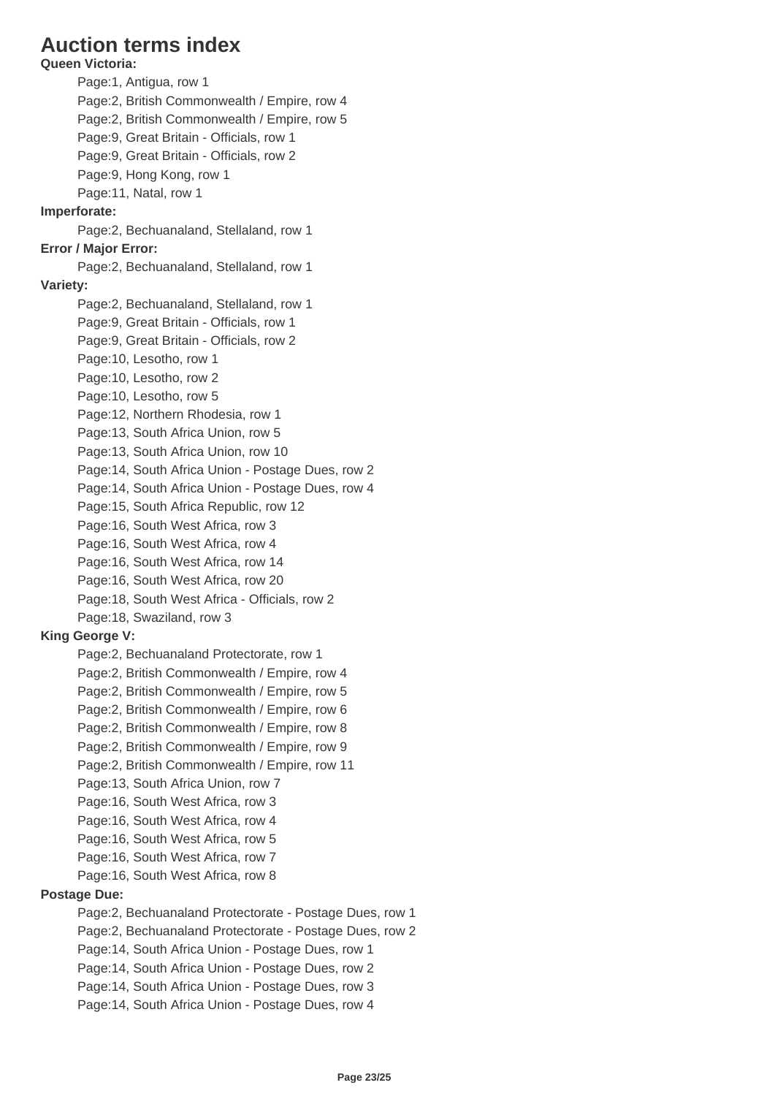## **Auction terms index**

**Queen Victoria:** Page:1, Antigua, row 1 Page:2, British Commonwealth / Empire, row 4 Page:2, British Commonwealth / Empire, row 5 Page:9, Great Britain - Officials, row 1 Page:9, Great Britain - Officials, row 2 Page:9, Hong Kong, row 1 Page:11, Natal, row 1 **Imperforate:** Page:2, Bechuanaland, Stellaland, row 1 **Error / Major Error:** Page:2, Bechuanaland, Stellaland, row 1 **Variety:** Page:2, Bechuanaland, Stellaland, row 1 Page:9, Great Britain - Officials, row 1 Page:9, Great Britain - Officials, row 2 Page:10, Lesotho, row 1 Page:10, Lesotho, row 2 Page:10, Lesotho, row 5 Page:12, Northern Rhodesia, row 1 Page:13, South Africa Union, row 5 Page:13, South Africa Union, row 10 Page:14, South Africa Union - Postage Dues, row 2 Page:14, South Africa Union - Postage Dues, row 4 Page:15, South Africa Republic, row 12 Page:16, South West Africa, row 3 Page:16, South West Africa, row 4 Page:16, South West Africa, row 14 Page:16, South West Africa, row 20 Page:18, South West Africa - Officials, row 2 Page:18, Swaziland, row 3 **King George V:** Page:2, Bechuanaland Protectorate, row 1 Page:2, British Commonwealth / Empire, row 4 Page:2, British Commonwealth / Empire, row 5 Page:2, British Commonwealth / Empire, row 6 Page:2, British Commonwealth / Empire, row 8 Page:2, British Commonwealth / Empire, row 9 Page:2, British Commonwealth / Empire, row 11 Page:13, South Africa Union, row 7 Page:16, South West Africa, row 3 Page:16, South West Africa, row 4 Page:16, South West Africa, row 5 Page:16, South West Africa, row 7 Page:16, South West Africa, row 8 **Postage Due:** Page:2, Bechuanaland Protectorate - Postage Dues, row 1 Page:2, Bechuanaland Protectorate - Postage Dues, row 2 Page:14, South Africa Union - Postage Dues, row 1 Page:14, South Africa Union - Postage Dues, row 2 Page:14, South Africa Union - Postage Dues, row 3 Page:14, South Africa Union - Postage Dues, row 4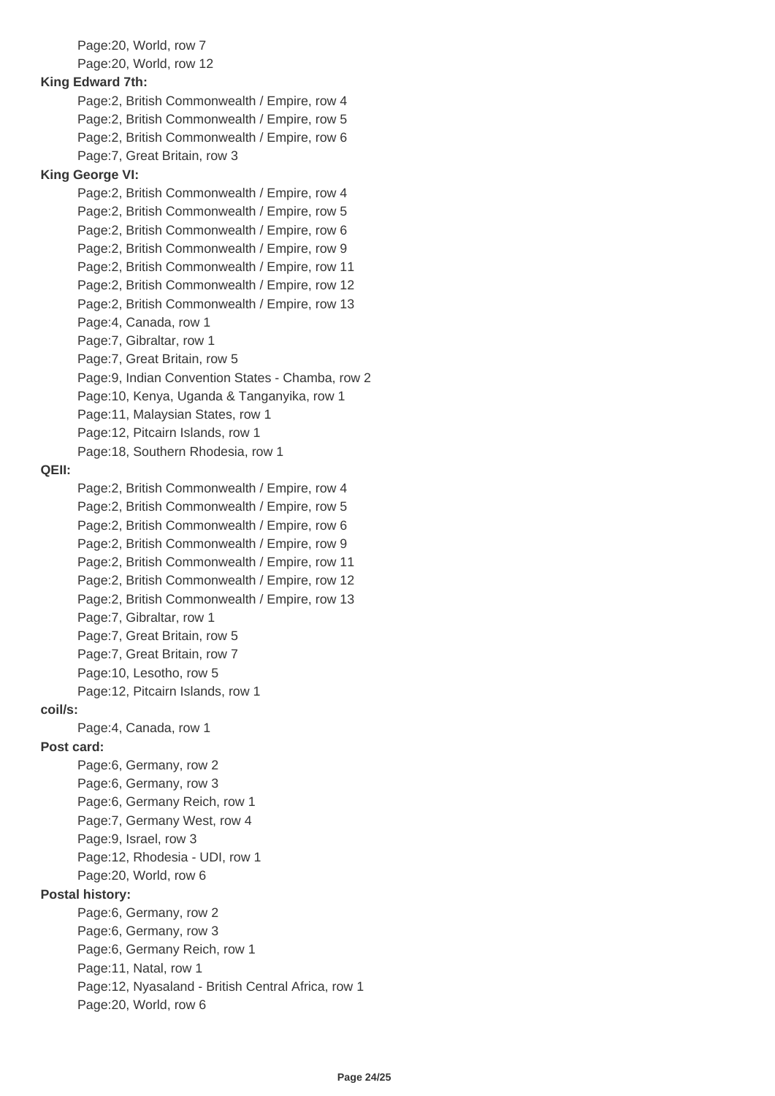Page:20, World, row 7 Page:20, World, row 12 **King Edward 7th:** Page:2, British Commonwealth / Empire, row 4 Page:2, British Commonwealth / Empire, row 5 Page:2, British Commonwealth / Empire, row 6 Page:7, Great Britain, row 3 **King George VI:** Page:2, British Commonwealth / Empire, row 4 Page:2, British Commonwealth / Empire, row 5 Page:2, British Commonwealth / Empire, row 6 Page:2, British Commonwealth / Empire, row 9 Page:2, British Commonwealth / Empire, row 11 Page:2, British Commonwealth / Empire, row 12 Page:2, British Commonwealth / Empire, row 13 Page:4, Canada, row 1 Page:7, Gibraltar, row 1 Page:7, Great Britain, row 5 Page:9, Indian Convention States - Chamba, row 2 Page:10, Kenya, Uganda & Tanganyika, row 1 Page:11, Malaysian States, row 1 Page:12, Pitcairn Islands, row 1 Page:18, Southern Rhodesia, row 1 **QEII:** Page:2, British Commonwealth / Empire, row 4 Page:2, British Commonwealth / Empire, row 5 Page:2, British Commonwealth / Empire, row 6 Page:2, British Commonwealth / Empire, row 9 Page:2, British Commonwealth / Empire, row 11 Page:2, British Commonwealth / Empire, row 12 Page:2, British Commonwealth / Empire, row 13 Page:7, Gibraltar, row 1 Page:7, Great Britain, row 5 Page:7, Great Britain, row 7 Page:10, Lesotho, row 5 Page:12, Pitcairn Islands, row 1 **coil/s:** Page:4, Canada, row 1 **Post card:** Page:6, Germany, row 2 Page:6, Germany, row 3 Page:6, Germany Reich, row 1 Page:7, Germany West, row 4 Page:9, Israel, row 3 Page:12, Rhodesia - UDI, row 1 Page:20, World, row 6 **Postal history:** Page:6, Germany, row 2 Page:6, Germany, row 3 Page:6, Germany Reich, row 1 Page:11, Natal, row 1 Page:12, Nyasaland - British Central Africa, row 1 Page:20, World, row 6